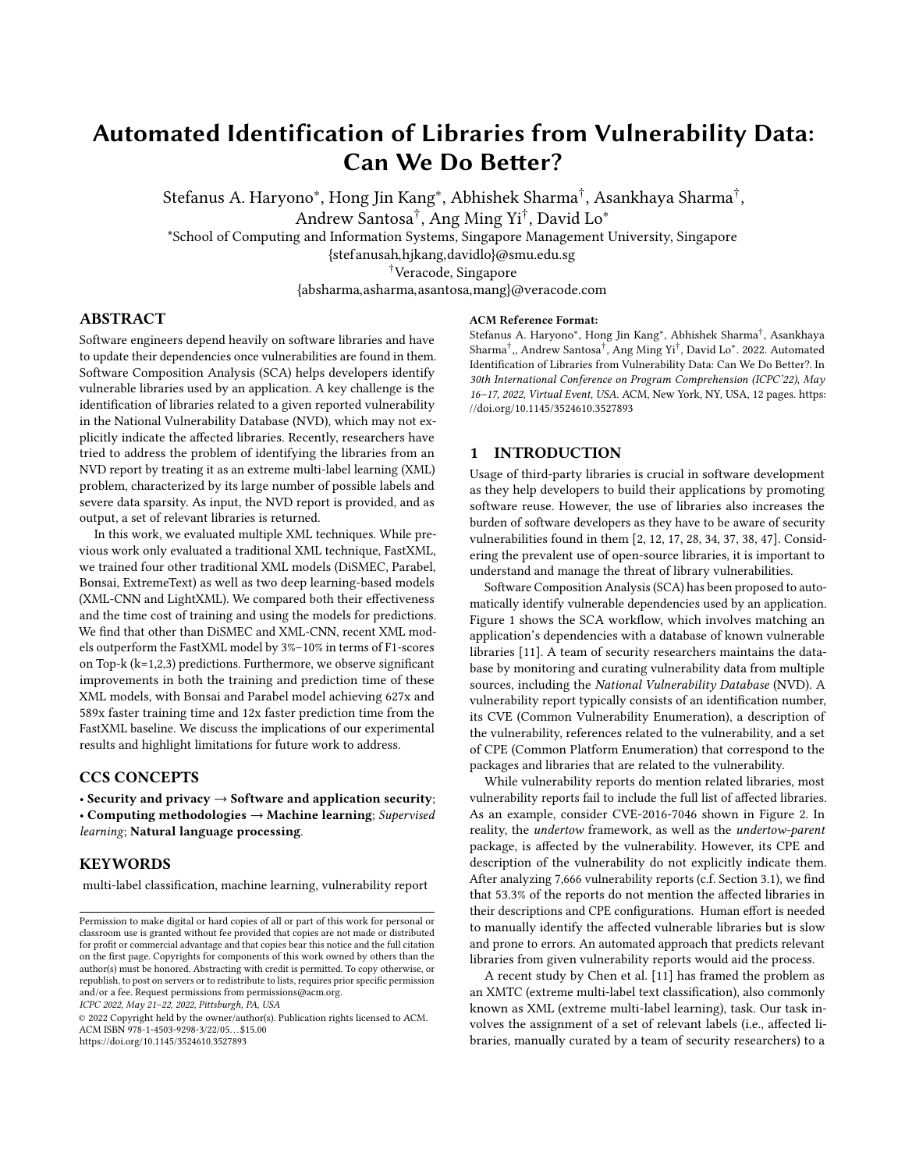# Automated Identification of Libraries from Vulnerability Data: Can We Do Better?

Stefanus A. Haryono\*, Hong Jin Kang\*, Abhishek Sharma<sup>†</sup>, Asankhaya Sharma<sup>†</sup>,

Andrew Santosa† , Ang Ming Yi† , David Lo<sup>∗</sup>

\*School of Computing and Information Systems, Singapore Management University, Singapore

{stefanusah,hjkang,davidlo}@smu.edu.sg

†Veracode, Singapore

{absharma,asharma,asantosa,mang}@veracode.com

#### ABSTRACT

Software engineers depend heavily on software libraries and have to update their dependencies once vulnerabilities are found in them. Software Composition Analysis (SCA) helps developers identify vulnerable libraries used by an application. A key challenge is the identification of libraries related to a given reported vulnerability in the National Vulnerability Database (NVD), which may not explicitly indicate the affected libraries. Recently, researchers have tried to address the problem of identifying the libraries from an NVD report by treating it as an extreme multi-label learning (XML) problem, characterized by its large number of possible labels and severe data sparsity. As input, the NVD report is provided, and as output, a set of relevant libraries is returned.

In this work, we evaluated multiple XML techniques. While previous work only evaluated a traditional XML technique, FastXML, we trained four other traditional XML models (DiSMEC, Parabel, Bonsai, ExtremeText) as well as two deep learning-based models (XML-CNN and LightXML). We compared both their effectiveness and the time cost of training and using the models for predictions. We find that other than DiSMEC and XML-CNN, recent XML models outperform the FastXML model by 3%–10% in terms of F1-scores on Top-k (k=1,2,3) predictions. Furthermore, we observe significant improvements in both the training and prediction time of these XML models, with Bonsai and Parabel model achieving 627x and 589x faster training time and 12x faster prediction time from the FastXML baseline. We discuss the implications of our experimental results and highlight limitations for future work to address.

## CCS CONCEPTS

• Security and privacy  $\rightarrow$  Software and application security; • Computing methodologies  $\rightarrow$  Machine learning; Supervised learning; Natural language processing.

## **KEYWORDS**

multi-label classification, machine learning, vulnerability report

ICPC 2022, May 21–22, 2022, Pittsburgh, PA, USA

© 2022 Copyright held by the owner/author(s). Publication rights licensed to ACM. ACM ISBN 978-1-4503-9298-3/22/05. . . \$15.00 <https://doi.org/10.1145/3524610.3527893>

#### ACM Reference Format:

Stefanus A. Haryono<sup>∗</sup> , Hong Jin Kang<sup>∗</sup> , Abhishek Sharma† , Asankhaya Sharma† ,, Andrew Santosa† , Ang Ming Yi† , David Lo<sup>∗</sup> . 2022. Automated Identification of Libraries from Vulnerability Data: Can We Do Better?. In 30th International Conference on Program Comprehension (ICPC'22), May 16–17, 2022, Virtual Event, USA. ACM, New York, NY, USA, [12](#page-11-0) pages. [https:](https://doi.org/10.1145/3524610.3527893) [//doi.org/10.1145/3524610.3527893](https://doi.org/10.1145/3524610.3527893)

#### 1 INTRODUCTION

Usage of third-party libraries is crucial in software development as they help developers to build their applications by promoting software reuse. However, the use of libraries also increases the burden of software developers as they have to be aware of security vulnerabilities found in them [\[2,](#page-10-0) [12,](#page-10-1) [17,](#page-10-2) [28,](#page-10-3) [34,](#page-10-4) [37,](#page-10-5) [38,](#page-10-6) [47\]](#page-11-1). Considering the prevalent use of open-source libraries, it is important to understand and manage the threat of library vulnerabilities.

Software Composition Analysis (SCA) has been proposed to automatically identify vulnerable dependencies used by an application. Figure [1](#page-1-0) shows the SCA workflow, which involves matching an application's dependencies with a database of known vulnerable libraries [\[11\]](#page-10-7). A team of security researchers maintains the database by monitoring and curating vulnerability data from multiple sources, including the National Vulnerability Database (NVD). A vulnerability report typically consists of an identification number, its CVE (Common Vulnerability Enumeration), a description of the vulnerability, references related to the vulnerability, and a set of CPE (Common Platform Enumeration) that correspond to the packages and libraries that are related to the vulnerability.

While vulnerability reports do mention related libraries, most vulnerability reports fail to include the full list of affected libraries. As an example, consider CVE-2016-7046 shown in Figure [2.](#page-1-1) In reality, the undertow framework, as well as the undertow-parent package, is affected by the vulnerability. However, its CPE and description of the vulnerability do not explicitly indicate them. After analyzing 7,666 vulnerability reports (c.f. Section [3.1\)](#page-3-0), we find that 53.3% of the reports do not mention the affected libraries in their descriptions and CPE configurations. Human effort is needed to manually identify the affected vulnerable libraries but is slow and prone to errors. An automated approach that predicts relevant libraries from given vulnerability reports would aid the process.

A recent study by Chen et al. [\[11\]](#page-10-7) has framed the problem as an XMTC (extreme multi-label text classification), also commonly known as XML (extreme multi-label learning), task. Our task involves the assignment of a set of relevant labels (i.e., affected libraries, manually curated by a team of security researchers) to a

Permission to make digital or hard copies of all or part of this work for personal or classroom use is granted without fee provided that copies are not made or distributed for profit or commercial advantage and that copies bear this notice and the full citation on the first page. Copyrights for components of this work owned by others than the author(s) must be honored. Abstracting with credit is permitted. To copy otherwise, or republish, to post on servers or to redistribute to lists, requires prior specific permission and/or a fee. Request permissions from permissions@acm.org.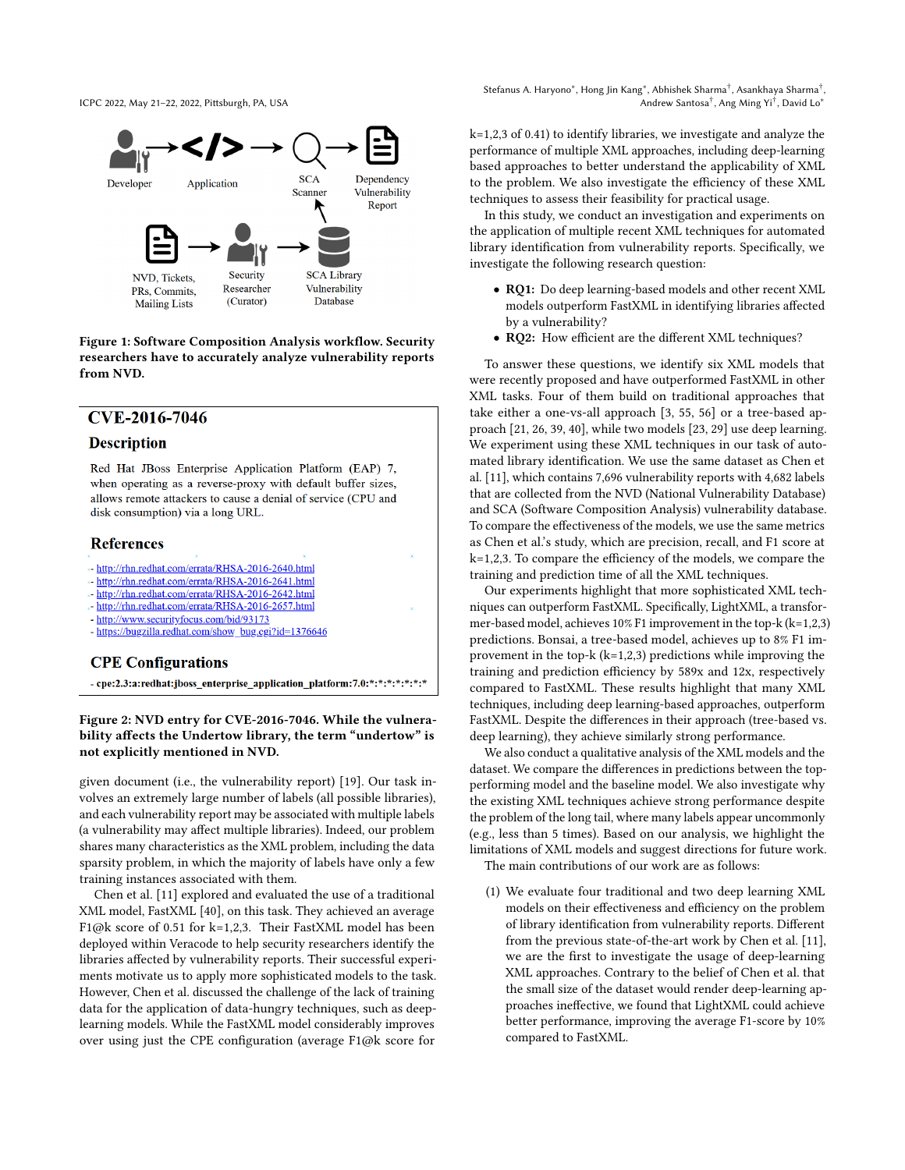<span id="page-1-0"></span>

Figure 1: Software Composition Analysis workflow. Security researchers have to accurately analyze vulnerability reports from NVD.

## <span id="page-1-1"></span>CVE-2016-7046

#### **Description**

Red Hat JBoss Enterprise Application Platform (EAP) 7, when operating as a reverse-proxy with default buffer sizes, allows remote attackers to cause a denial of service (CPU and disk consumption) via a long URL.

## **References**

- \*- http://rhn.redhat.com/errata/RHSA-2016-2640.html
- \*- http://rhn.redhat.com/errata/RHSA-2016-2641.html
- \*- http://rhn.redhat.com/errata/RHSA-2016-2642.html
- http://rhn.redhat.com/errata/RHSA-2016-2657.html
- http://www.securityfocus.com/bid/93173
- https://bugzilla.redhat.com/show\_bug.cgi?id=1376646

#### **CPE Configurations**

- cpe:2.3:a:redhat:jboss\_enterprise\_application\_platform:7.0:\*:\*:\*:\*:\*:\*:\*:\*

#### Figure 2: NVD entry for CVE-2016-7046. While the vulnerability affects the Undertow library, the term "undertow" is not explicitly mentioned in NVD.

given document (i.e., the vulnerability report) [\[19\]](#page-10-8). Our task involves an extremely large number of labels (all possible libraries), and each vulnerability report may be associated with multiple labels (a vulnerability may affect multiple libraries). Indeed, our problem shares many characteristics as the XML problem, including the data sparsity problem, in which the majority of labels have only a few training instances associated with them.

Chen et al. [\[11\]](#page-10-7) explored and evaluated the use of a traditional XML model, FastXML [\[40\]](#page-11-2), on this task. They achieved an average F1@k score of 0.51 for k=1,2,3. Their FastXML model has been deployed within Veracode to help security researchers identify the libraries affected by vulnerability reports. Their successful experiments motivate us to apply more sophisticated models to the task. However, Chen et al. discussed the challenge of the lack of training data for the application of data-hungry techniques, such as deeplearning models. While the FastXML model considerably improves over using just the CPE configuration (average F1@k score for

Stefanus A. Haryono\*, Hong Jin Kang\*, Abhishek Sharma<sup>†</sup>, Asankhaya Sharma<sup>†</sup>, Andrew Santosa† , Ang Ming Yi† , David Lo<sup>∗</sup>

k=1,2,3 of 0.41) to identify libraries, we investigate and analyze the performance of multiple XML approaches, including deep-learning based approaches to better understand the applicability of XML to the problem. We also investigate the efficiency of these XML techniques to assess their feasibility for practical usage.

In this study, we conduct an investigation and experiments on the application of multiple recent XML techniques for automated library identification from vulnerability reports. Specifically, we investigate the following research question:

- RQ1: Do deep learning-based models and other recent XML models outperform FastXML in identifying libraries affected by a vulnerability?
- RQ2: How efficient are the different XML techniques?

To answer these questions, we identify six XML models that were recently proposed and have outperformed FastXML in other XML tasks. Four of them build on traditional approaches that take either a one-vs-all approach [\[3,](#page-10-9) [55,](#page-11-3) [56\]](#page-11-4) or a tree-based approach [\[21,](#page-10-10) [26,](#page-10-11) [39,](#page-10-12) [40\]](#page-11-2), while two models [\[23,](#page-10-13) [29\]](#page-10-14) use deep learning. We experiment using these XML techniques in our task of automated library identification. We use the same dataset as Chen et al. [\[11\]](#page-10-7), which contains 7,696 vulnerability reports with 4,682 labels that are collected from the NVD (National Vulnerability Database) and SCA (Software Composition Analysis) vulnerability database. To compare the effectiveness of the models, we use the same metrics as Chen et al.'s study, which are precision, recall, and F1 score at k=1,2,3. To compare the efficiency of the models, we compare the training and prediction time of all the XML techniques.

Our experiments highlight that more sophisticated XML techniques can outperform FastXML. Specifically, LightXML, a transformer-based model, achieves 10% F1 improvement in the top-k (k=1,2,3) predictions. Bonsai, a tree-based model, achieves up to 8% F1 improvement in the top-k  $(k=1,2,3)$  predictions while improving the training and prediction efficiency by 589x and 12x, respectively compared to FastXML. These results highlight that many XML techniques, including deep learning-based approaches, outperform FastXML. Despite the differences in their approach (tree-based vs. deep learning), they achieve similarly strong performance.

We also conduct a qualitative analysis of the XML models and the dataset. We compare the differences in predictions between the topperforming model and the baseline model. We also investigate why the existing XML techniques achieve strong performance despite the problem of the long tail, where many labels appear uncommonly (e.g., less than 5 times). Based on our analysis, we highlight the limitations of XML models and suggest directions for future work. The main contributions of our work are as follows:

(1) We evaluate four traditional and two deep learning XML models on their effectiveness and efficiency on the problem of library identification from vulnerability reports. Different from the previous state-of-the-art work by Chen et al. [\[11\]](#page-10-7), we are the first to investigate the usage of deep-learning XML approaches. Contrary to the belief of Chen et al. that the small size of the dataset would render deep-learning approaches ineffective, we found that LightXML could achieve better performance, improving the average F1-score by 10% compared to FastXML.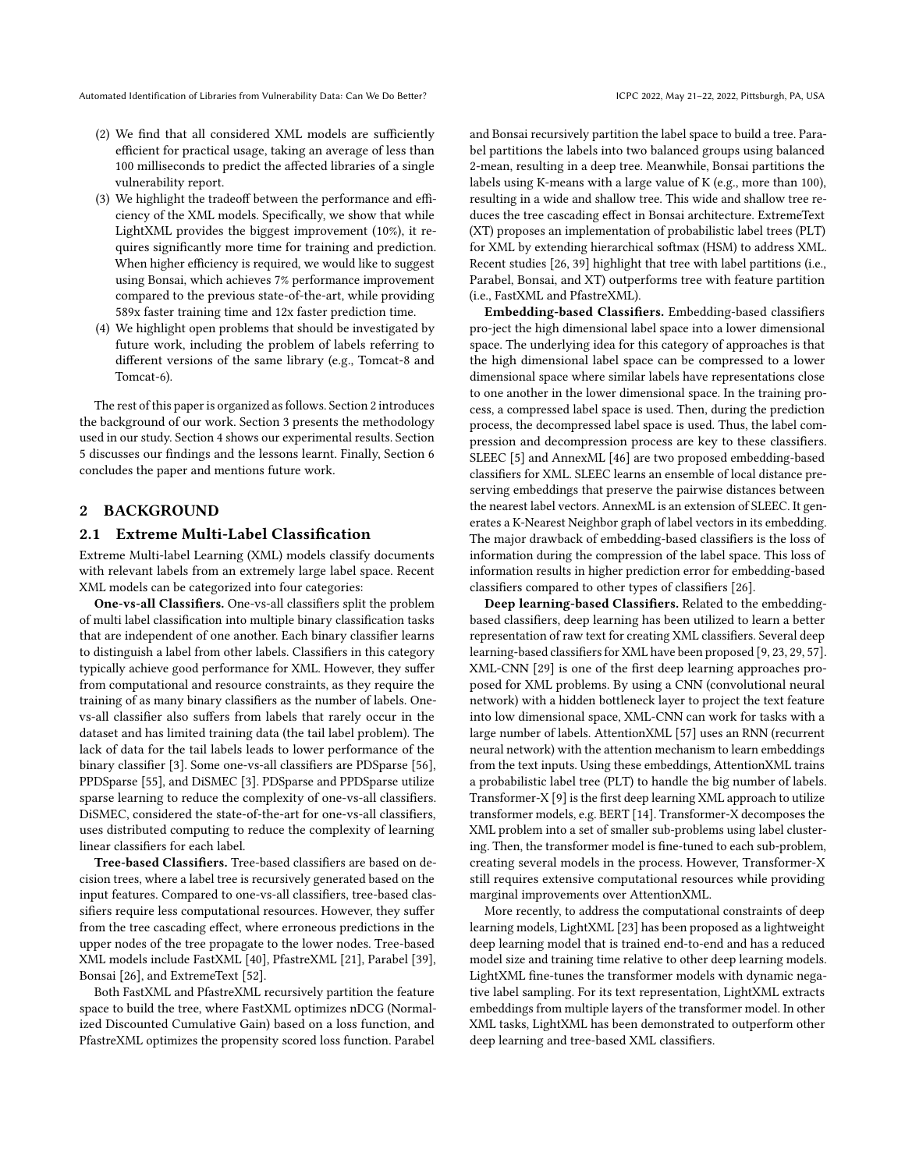- (2) We find that all considered XML models are sufficiently efficient for practical usage, taking an average of less than 100 milliseconds to predict the affected libraries of a single vulnerability report.
- (3) We highlight the tradeoff between the performance and efficiency of the XML models. Specifically, we show that while LightXML provides the biggest improvement (10%), it requires significantly more time for training and prediction. When higher efficiency is required, we would like to suggest using Bonsai, which achieves 7% performance improvement compared to the previous state-of-the-art, while providing 589x faster training time and 12x faster prediction time.
- (4) We highlight open problems that should be investigated by future work, including the problem of labels referring to different versions of the same library (e.g., Tomcat-8 and Tomcat-6).

The rest of this paper is organized as follows. Section [2](#page-2-0) introduces the background of our work. Section [3](#page-3-1) presents the methodology used in our study. Section [4](#page-6-0) shows our experimental results. Section [5](#page-7-0) discusses our findings and the lessons learnt. Finally, Section [6](#page-9-0) concludes the paper and mentions future work.

## <span id="page-2-0"></span>2 BACKGROUND

## <span id="page-2-1"></span>2.1 Extreme Multi-Label Classification

Extreme Multi-label Learning (XML) models classify documents with relevant labels from an extremely large label space. Recent XML models can be categorized into four categories:

One-vs-all Classifiers. One-vs-all classifiers split the problem of multi label classification into multiple binary classification tasks that are independent of one another. Each binary classifier learns to distinguish a label from other labels. Classifiers in this category typically achieve good performance for XML. However, they suffer from computational and resource constraints, as they require the training of as many binary classifiers as the number of labels. Onevs-all classifier also suffers from labels that rarely occur in the dataset and has limited training data (the tail label problem). The lack of data for the tail labels leads to lower performance of the binary classifier [\[3\]](#page-10-9). Some one-vs-all classifiers are PDSparse [\[56\]](#page-11-4), PPDSparse [\[55\]](#page-11-3), and DiSMEC [\[3\]](#page-10-9). PDSparse and PPDSparse utilize sparse learning to reduce the complexity of one-vs-all classifiers. DiSMEC, considered the state-of-the-art for one-vs-all classifiers, uses distributed computing to reduce the complexity of learning linear classifiers for each label.

Tree-based Classifiers. Tree-based classifiers are based on decision trees, where a label tree is recursively generated based on the input features. Compared to one-vs-all classifiers, tree-based classifiers require less computational resources. However, they suffer from the tree cascading effect, where erroneous predictions in the upper nodes of the tree propagate to the lower nodes. Tree-based XML models include FastXML [\[40\]](#page-11-2), PfastreXML [\[21\]](#page-10-10), Parabel [\[39\]](#page-10-12), Bonsai [\[26\]](#page-10-11), and ExtremeText [\[52\]](#page-11-5).

Both FastXML and PfastreXML recursively partition the feature space to build the tree, where FastXML optimizes nDCG (Normalized Discounted Cumulative Gain) based on a loss function, and PfastreXML optimizes the propensity scored loss function. Parabel

and Bonsai recursively partition the label space to build a tree. Parabel partitions the labels into two balanced groups using balanced 2-mean, resulting in a deep tree. Meanwhile, Bonsai partitions the labels using K-means with a large value of K (e.g., more than 100), resulting in a wide and shallow tree. This wide and shallow tree reduces the tree cascading effect in Bonsai architecture. ExtremeText (XT) proposes an implementation of probabilistic label trees (PLT) for XML by extending hierarchical softmax (HSM) to address XML. Recent studies [\[26,](#page-10-11) [39\]](#page-10-12) highlight that tree with label partitions (i.e., Parabel, Bonsai, and XT) outperforms tree with feature partition (i.e., FastXML and PfastreXML).

Embedding-based Classifiers. Embedding-based classifiers pro-ject the high dimensional label space into a lower dimensional space. The underlying idea for this category of approaches is that the high dimensional label space can be compressed to a lower dimensional space where similar labels have representations close to one another in the lower dimensional space. In the training process, a compressed label space is used. Then, during the prediction process, the decompressed label space is used. Thus, the label compression and decompression process are key to these classifiers. SLEEC [\[5\]](#page-10-15) and AnnexML [\[46\]](#page-11-6) are two proposed embedding-based classifiers for XML. SLEEC learns an ensemble of local distance preserving embeddings that preserve the pairwise distances between the nearest label vectors. AnnexML is an extension of SLEEC. It generates a K-Nearest Neighbor graph of label vectors in its embedding. The major drawback of embedding-based classifiers is the loss of information during the compression of the label space. This loss of information results in higher prediction error for embedding-based classifiers compared to other types of classifiers [\[26\]](#page-10-11).

Deep learning-based Classifiers. Related to the embeddingbased classifiers, deep learning has been utilized to learn a better representation of raw text for creating XML classifiers. Several deep learning-based classifiers for XML have been proposed [\[9,](#page-10-16) [23,](#page-10-13) [29,](#page-10-14) [57\]](#page-11-7). XML-CNN [\[29\]](#page-10-14) is one of the first deep learning approaches proposed for XML problems. By using a CNN (convolutional neural network) with a hidden bottleneck layer to project the text feature into low dimensional space, XML-CNN can work for tasks with a large number of labels. AttentionXML [\[57\]](#page-11-7) uses an RNN (recurrent neural network) with the attention mechanism to learn embeddings from the text inputs. Using these embeddings, AttentionXML trains a probabilistic label tree (PLT) to handle the big number of labels. Transformer-X [\[9\]](#page-10-16) is the first deep learning XML approach to utilize transformer models, e.g. BERT [\[14\]](#page-10-17). Transformer-X decomposes the XML problem into a set of smaller sub-problems using label clustering. Then, the transformer model is fine-tuned to each sub-problem, creating several models in the process. However, Transformer-X still requires extensive computational resources while providing marginal improvements over AttentionXML.

More recently, to address the computational constraints of deep learning models, LightXML [\[23\]](#page-10-13) has been proposed as a lightweight deep learning model that is trained end-to-end and has a reduced model size and training time relative to other deep learning models. LightXML fine-tunes the transformer models with dynamic negative label sampling. For its text representation, LightXML extracts embeddings from multiple layers of the transformer model. In other XML tasks, LightXML has been demonstrated to outperform other deep learning and tree-based XML classifiers.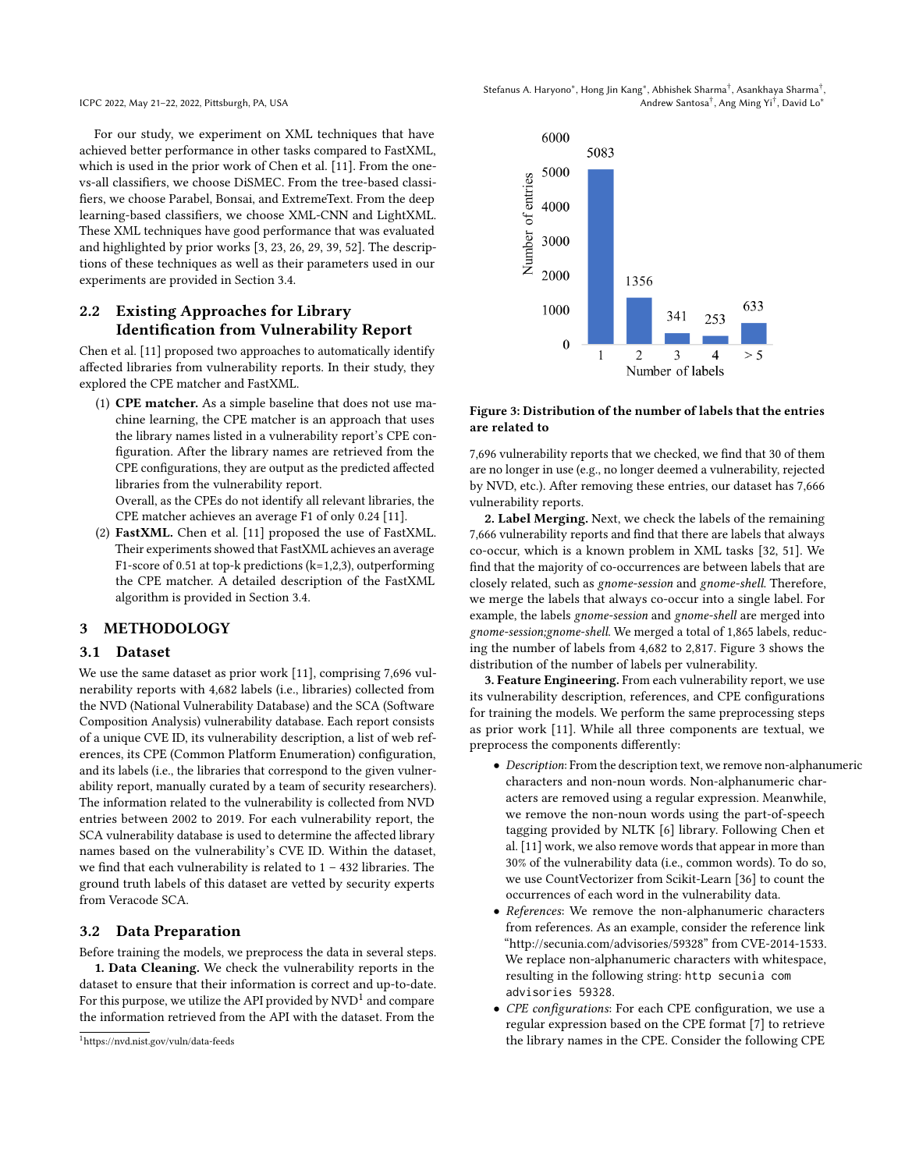<span id="page-3-3"></span>Stefanus A. Haryono\*, Hong Jin Kang\*, Abhishek Sharma<sup>†</sup>, Asankhaya Sharma<sup>†</sup>, Andrew Santosa† , Ang Ming Yi† , David Lo<sup>∗</sup>

For our study, we experiment on XML techniques that have achieved better performance in other tasks compared to FastXML, which is used in the prior work of Chen et al. [\[11\]](#page-10-7). From the onevs-all classifiers, we choose DiSMEC. From the tree-based classifiers, we choose Parabel, Bonsai, and ExtremeText. From the deep learning-based classifiers, we choose XML-CNN and LightXML. These XML techniques have good performance that was evaluated and highlighted by prior works [\[3,](#page-10-9) [23,](#page-10-13) [26,](#page-10-11) [29,](#page-10-14) [39,](#page-10-12) [52\]](#page-11-5). The descriptions of these techniques as well as their parameters used in our experiments are provided in Section [3.4.](#page-4-0)

# <span id="page-3-5"></span>2.2 Existing Approaches for Library Identification from Vulnerability Report

Chen et al. [\[11\]](#page-10-7) proposed two approaches to automatically identify affected libraries from vulnerability reports. In their study, they explored the CPE matcher and FastXML.

(1) CPE matcher. As a simple baseline that does not use machine learning, the CPE matcher is an approach that uses the library names listed in a vulnerability report's CPE configuration. After the library names are retrieved from the CPE configurations, they are output as the predicted affected libraries from the vulnerability report.

Overall, as the CPEs do not identify all relevant libraries, the CPE matcher achieves an average F1 of only 0.24 [\[11\]](#page-10-7).

(2) FastXML. Chen et al. [\[11\]](#page-10-7) proposed the use of FastXML. Their experiments showed that FastXML achieves an average F1-score of 0.51 at top-k predictions (k=1,2,3), outperforming the CPE matcher. A detailed description of the FastXML algorithm is provided in Section [3.4.](#page-4-0)

## <span id="page-3-1"></span>3 METHODOLOGY

#### <span id="page-3-0"></span>3.1 Dataset

We use the same dataset as prior work [\[11\]](#page-10-7), comprising 7,696 vulnerability reports with 4,682 labels (i.e., libraries) collected from the NVD (National Vulnerability Database) and the SCA (Software Composition Analysis) vulnerability database. Each report consists of a unique CVE ID, its vulnerability description, a list of web references, its CPE (Common Platform Enumeration) configuration, and its labels (i.e., the libraries that correspond to the given vulnerability report, manually curated by a team of security researchers). The information related to the vulnerability is collected from NVD entries between 2002 to 2019. For each vulnerability report, the SCA vulnerability database is used to determine the affected library names based on the vulnerability's CVE ID. Within the dataset, we find that each vulnerability is related to 1 – 432 libraries. The ground truth labels of this dataset are vetted by security experts from Veracode SCA.

## <span id="page-3-4"></span>3.2 Data Preparation

Before training the models, we preprocess the data in several steps. 1. Data Cleaning. We check the vulnerability reports in the dataset to ensure that their information is correct and up-to-date. For this purpose, we utilize the API provided by  $\mathrm{NVD}^1$  $\mathrm{NVD}^1$  and compare the information retrieved from the API with the dataset. From the

<span id="page-3-2"></span>



#### Figure 3: Distribution of the number of labels that the entries are related to

7,696 vulnerability reports that we checked, we find that 30 of them are no longer in use (e.g., no longer deemed a vulnerability, rejected by NVD, etc.). After removing these entries, our dataset has 7,666 vulnerability reports.

2. Label Merging. Next, we check the labels of the remaining 7,666 vulnerability reports and find that there are labels that always co-occur, which is a known problem in XML tasks [\[32,](#page-10-18) [51\]](#page-11-8). We find that the majority of co-occurrences are between labels that are closely related, such as gnome-session and gnome-shell. Therefore, we merge the labels that always co-occur into a single label. For example, the labels gnome-session and gnome-shell are merged into gnome-session;gnome-shell. We merged a total of 1,865 labels, reducing the number of labels from 4,682 to 2,817. Figure [3](#page-3-3) shows the distribution of the number of labels per vulnerability.

3. Feature Engineering. From each vulnerability report, we use its vulnerability description, references, and CPE configurations for training the models. We perform the same preprocessing steps as prior work [\[11\]](#page-10-7). While all three components are textual, we preprocess the components differently:

- Description: From the description text, we remove non-alphanumeric characters and non-noun words. Non-alphanumeric characters are removed using a regular expression. Meanwhile, we remove the non-noun words using the part-of-speech tagging provided by NLTK [\[6\]](#page-10-19) library. Following Chen et al. [\[11\]](#page-10-7) work, we also remove words that appear in more than 30% of the vulnerability data (i.e., common words). To do so, we use CountVectorizer from Scikit-Learn [\[36\]](#page-10-20) to count the occurrences of each word in the vulnerability data.
- References: We remove the non-alphanumeric characters from references. As an example, consider the reference link ["http://secunia.com/advisories/59328"](http://secunia.com/advisories/59328) from CVE-2014-1533. We replace non-alphanumeric characters with whitespace, resulting in the following string: http secunia com advisories 59328.
- CPE configurations: For each CPE configuration, we use a regular expression based on the CPE format [\[7\]](#page-10-21) to retrieve the library names in the CPE. Consider the following CPE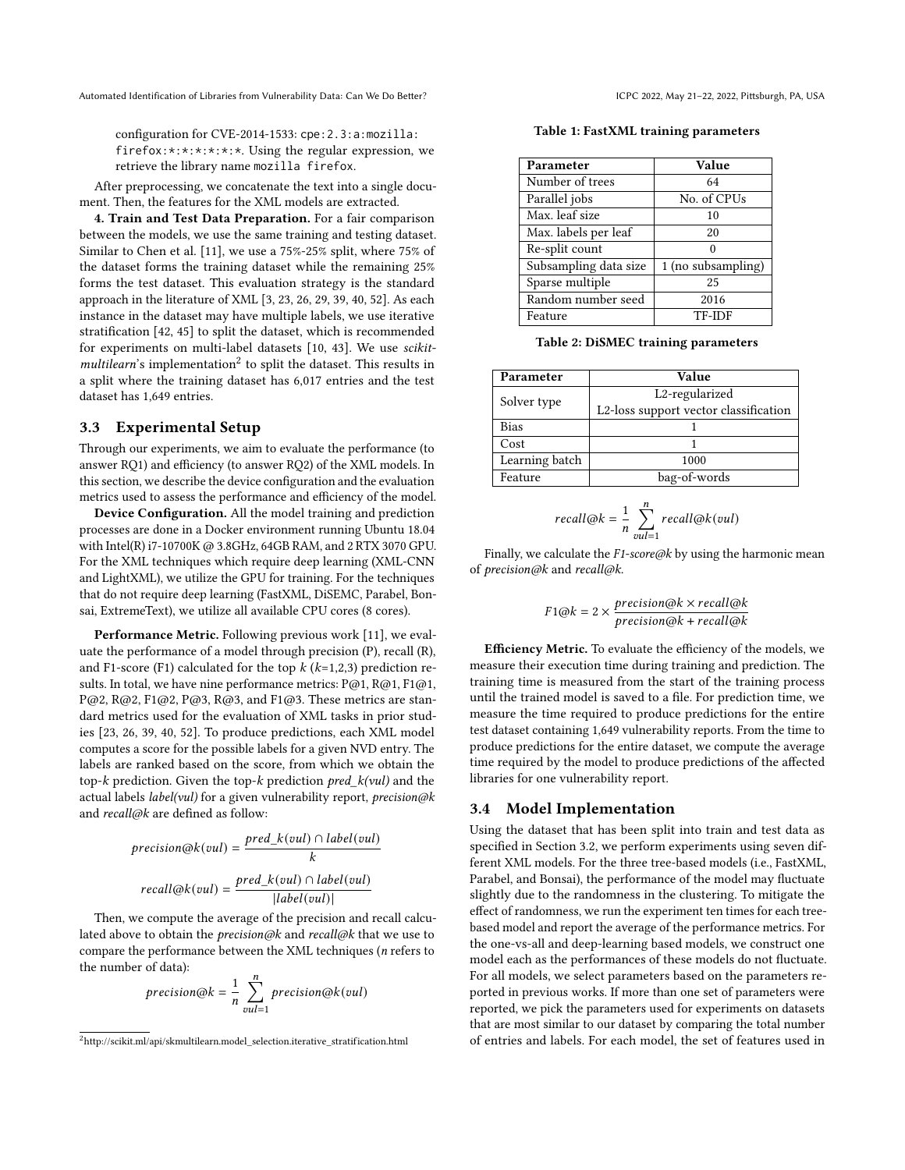configuration for CVE-2014-1533: cpe:2.3:a:mozilla: firefox:\*:\*:\*:\*:\*:\*. Using the regular expression, we retrieve the library name mozilla firefox.

After preprocessing, we concatenate the text into a single document. Then, the features for the XML models are extracted.

4. Train and Test Data Preparation. For a fair comparison between the models, we use the same training and testing dataset. Similar to Chen et al. [\[11\]](#page-10-7), we use a 75%-25% split, where 75% of the dataset forms the training dataset while the remaining 25% forms the test dataset. This evaluation strategy is the standard approach in the literature of XML [\[3,](#page-10-9) [23,](#page-10-13) [26,](#page-10-11) [29,](#page-10-14) [39,](#page-10-12) [40,](#page-11-2) [52\]](#page-11-5). As each instance in the dataset may have multiple labels, we use iterative stratification [\[42,](#page-11-9) [45\]](#page-11-10) to split the dataset, which is recommended for experiments on multi-label datasets [\[10,](#page-10-22) [43\]](#page-11-11). We use scikit- $multilearn's implementation<sup>2</sup>$  $multilearn's implementation<sup>2</sup>$  $multilearn's implementation<sup>2</sup>$  to split the dataset. This results in a split where the training dataset has 6,017 entries and the test dataset has 1,649 entries.

#### <span id="page-4-4"></span>3.3 Experimental Setup

Through our experiments, we aim to evaluate the performance (to answer RQ1) and efficiency (to answer RQ2) of the XML models. In this section, we describe the device configuration and the evaluation metrics used to assess the performance and efficiency of the model.

Device Configuration. All the model training and prediction processes are done in a Docker environment running Ubuntu 18.04 with Intel(R) i7-10700K @ 3.8GHz, 64GB RAM, and 2 RTX 3070 GPU. For the XML techniques which require deep learning (XML-CNN and LightXML), we utilize the GPU for training. For the techniques that do not require deep learning (FastXML, DiSEMC, Parabel, Bonsai, ExtremeText), we utilize all available CPU cores (8 cores).

Performance Metric. Following previous work [\[11\]](#page-10-7), we evaluate the performance of a model through precision (P), recall (R), and F1-score (F1) calculated for the top  $k$  ( $k=1,2,3$ ) prediction results. In total, we have nine performance metrics: P@1, R@1, F1@1, P@2, R@2, F1@2, P@3, R@3, and F1@3. These metrics are standard metrics used for the evaluation of XML tasks in prior studies [\[23,](#page-10-13) [26,](#page-10-11) [39,](#page-10-12) [40,](#page-11-2) [52\]](#page-11-5). To produce predictions, each XML model computes a score for the possible labels for a given NVD entry. The labels are ranked based on the score, from which we obtain the top- $k$  prediction. Given the top- $k$  prediction  $pred_k(vul)$  and the actual labels *label(vul)* for a given vulnerability report, *precision@k* and recall@k are defined as follow:

$$
precision@k(vul) = \frac{pred_k(vul) \cap label(vul)}{k}
$$

$$
recall@k(vul) = \frac{pred_k(vul) \cap label(vul)}{|label(vul)|}
$$

Then, we compute the average of the precision and recall calculated above to obtain the *precision@k* and *recall@k* that we use to compare the performance between the XML techniques (n refers to the number of data):

$$
precision@k = \frac{1}{n} \sum_{vul=1}^{n} precision@k(vul)
$$

<span id="page-4-2"></span>Table 1: FastXML training parameters

| Parameter             | Value              |
|-----------------------|--------------------|
| Number of trees       | 64                 |
| Parallel jobs         | No. of CPUs        |
| Max. leaf size        | 10                 |
| Max. labels per leaf  | 20                 |
| Re-split count        |                    |
| Subsampling data size | 1 (no subsampling) |
| Sparse multiple       | 25                 |
| Random number seed    | 2016               |
| Feature               | <b>TF-IDF</b>      |

Table 2: DiSMEC training parameters

<span id="page-4-3"></span>

| Parameter      | Value                                 |  |  |  |
|----------------|---------------------------------------|--|--|--|
| Solver type    | L2-regularized                        |  |  |  |
|                | L2-loss support vector classification |  |  |  |
| <b>Bias</b>    |                                       |  |  |  |
| Cost           |                                       |  |  |  |
| Learning batch | 1000                                  |  |  |  |
| Feature        | bag-of-words                          |  |  |  |

$$
recall@k = \frac{1}{n} \sum_{vul=1}^{n} recall@k(vul)
$$

Finally, we calculate the  $F1$ -score@k by using the harmonic mean of precision@k and recall@k.

$$
F1@k = 2 \times \frac{precision@k \times recall@k}{precision@k + recall@k}
$$

Efficiency Metric. To evaluate the efficiency of the models, we measure their execution time during training and prediction. The training time is measured from the start of the training process until the trained model is saved to a file. For prediction time, we measure the time required to produce predictions for the entire test dataset containing 1,649 vulnerability reports. From the time to produce predictions for the entire dataset, we compute the average time required by the model to produce predictions of the affected libraries for one vulnerability report.

#### <span id="page-4-0"></span>3.4 Model Implementation

Using the dataset that has been split into train and test data as specified in Section [3.2,](#page-3-4) we perform experiments using seven different XML models. For the three tree-based models (i.e., FastXML, Parabel, and Bonsai), the performance of the model may fluctuate slightly due to the randomness in the clustering. To mitigate the effect of randomness, we run the experiment ten times for each treebased model and report the average of the performance metrics. For the one-vs-all and deep-learning based models, we construct one model each as the performances of these models do not fluctuate. For all models, we select parameters based on the parameters reported in previous works. If more than one set of parameters were reported, we pick the parameters used for experiments on datasets that are most similar to our dataset by comparing the total number of entries and labels. For each model, the set of features used in

<span id="page-4-1"></span> $^{2}$ [http://scikit.ml/api/skmultilearn.model\\_selection.iterative\\_stratification.html](http://scikit.ml/api/skmultilearn.model_selection.iterative_stratification.html)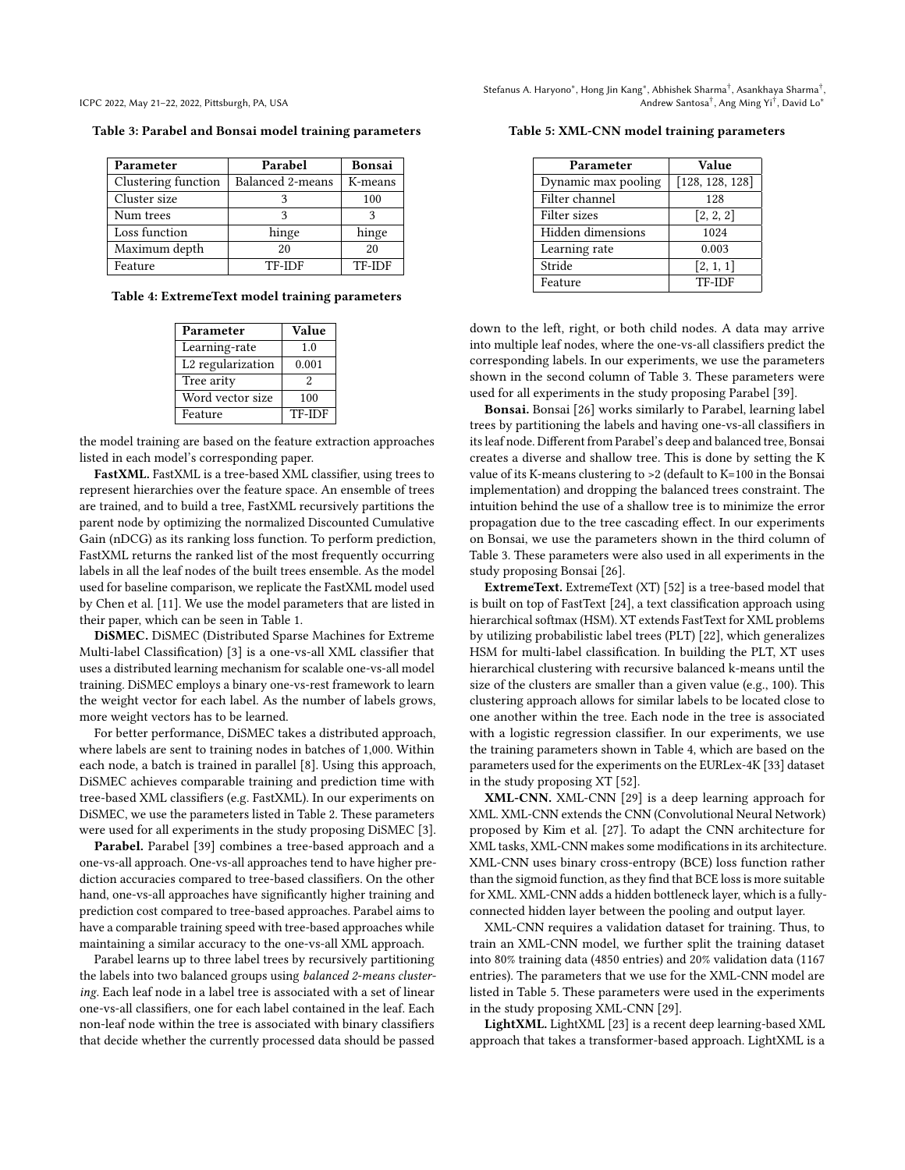<span id="page-5-0"></span>

| Table 3: Parabel and Bonsai model training parameters |  |
|-------------------------------------------------------|--|
|-------------------------------------------------------|--|

| Parameter           | Parabel          | <b>Bonsai</b> |
|---------------------|------------------|---------------|
| Clustering function | Balanced 2-means | K-means       |
| Cluster size        |                  | 100           |
| Num trees           | 3                |               |
| Loss function       | hinge            | hinge         |
| Maximum depth       | 20               | 20            |
| Feature             | <b>TF-IDF</b>    | <b>TF-IDF</b> |

<span id="page-5-1"></span>Table 4: ExtremeText model training parameters

| Parameter                     | Value         |
|-------------------------------|---------------|
| Learning-rate                 | 1.0           |
| L <sub>2</sub> regularization | 0.001         |
| Tree arity                    | 2             |
| Word vector size              | 100           |
| Feature                       | <b>TF-IDF</b> |

the model training are based on the feature extraction approaches listed in each model's corresponding paper.

FastXML. FastXML is a tree-based XML classifier, using trees to represent hierarchies over the feature space. An ensemble of trees are trained, and to build a tree, FastXML recursively partitions the parent node by optimizing the normalized Discounted Cumulative Gain (nDCG) as its ranking loss function. To perform prediction, FastXML returns the ranked list of the most frequently occurring labels in all the leaf nodes of the built trees ensemble. As the model used for baseline comparison, we replicate the FastXML model used by Chen et al. [\[11\]](#page-10-7). We use the model parameters that are listed in their paper, which can be seen in Table [1.](#page-4-2)

DiSMEC. DiSMEC (Distributed Sparse Machines for Extreme Multi-label Classification) [\[3\]](#page-10-9) is a one-vs-all XML classifier that uses a distributed learning mechanism for scalable one-vs-all model training. DiSMEC employs a binary one-vs-rest framework to learn the weight vector for each label. As the number of labels grows, more weight vectors has to be learned.

For better performance, DiSMEC takes a distributed approach, where labels are sent to training nodes in batches of 1,000. Within each node, a batch is trained in parallel [\[8\]](#page-10-23). Using this approach, DiSMEC achieves comparable training and prediction time with tree-based XML classifiers (e.g. FastXML). In our experiments on DiSMEC, we use the parameters listed in Table [2.](#page-4-3) These parameters were used for all experiments in the study proposing DiSMEC [\[3\]](#page-10-9).

Parabel. Parabel [\[39\]](#page-10-12) combines a tree-based approach and a one-vs-all approach. One-vs-all approaches tend to have higher prediction accuracies compared to tree-based classifiers. On the other hand, one-vs-all approaches have significantly higher training and prediction cost compared to tree-based approaches. Parabel aims to have a comparable training speed with tree-based approaches while maintaining a similar accuracy to the one-vs-all XML approach.

Parabel learns up to three label trees by recursively partitioning the labels into two balanced groups using balanced 2-means clustering. Each leaf node in a label tree is associated with a set of linear one-vs-all classifiers, one for each label contained in the leaf. Each non-leaf node within the tree is associated with binary classifiers that decide whether the currently processed data should be passed

<span id="page-5-2"></span>

|  |  |  |  |  |  | Table 5: XML-CNN model training parameters |
|--|--|--|--|--|--|--------------------------------------------|
|--|--|--|--|--|--|--------------------------------------------|

| Parameter           | Value           |  |  |
|---------------------|-----------------|--|--|
| Dynamic max pooling | [128, 128, 128] |  |  |
| Filter channel      | 128             |  |  |
| Filter sizes        | [2, 2, 2]       |  |  |
| Hidden dimensions   | 1024            |  |  |
| Learning rate       | 0.003           |  |  |
| Stride              | [2, 1, 1]       |  |  |
| Feature             | TF-IDF          |  |  |

down to the left, right, or both child nodes. A data may arrive into multiple leaf nodes, where the one-vs-all classifiers predict the corresponding labels. In our experiments, we use the parameters shown in the second column of Table [3.](#page-5-0) These parameters were used for all experiments in the study proposing Parabel [\[39\]](#page-10-12).

Bonsai. Bonsai [\[26\]](#page-10-11) works similarly to Parabel, learning label trees by partitioning the labels and having one-vs-all classifiers in its leaf node. Different from Parabel's deep and balanced tree, Bonsai creates a diverse and shallow tree. This is done by setting the K value of its K-means clustering to >2 (default to K=100 in the Bonsai implementation) and dropping the balanced trees constraint. The intuition behind the use of a shallow tree is to minimize the error propagation due to the tree cascading effect. In our experiments on Bonsai, we use the parameters shown in the third column of Table [3.](#page-5-0) These parameters were also used in all experiments in the study proposing Bonsai [\[26\]](#page-10-11).

ExtremeText. ExtremeText (XT) [\[52\]](#page-11-5) is a tree-based model that is built on top of FastText [\[24\]](#page-10-24), a text classification approach using hierarchical softmax (HSM). XT extends FastText for XML problems by utilizing probabilistic label trees (PLT) [\[22\]](#page-10-25), which generalizes HSM for multi-label classification. In building the PLT, XT uses hierarchical clustering with recursive balanced k-means until the size of the clusters are smaller than a given value (e.g., 100). This clustering approach allows for similar labels to be located close to one another within the tree. Each node in the tree is associated with a logistic regression classifier. In our experiments, we use the training parameters shown in Table [4,](#page-5-1) which are based on the parameters used for the experiments on the EURLex-4K [\[33\]](#page-10-26) dataset in the study proposing XT [\[52\]](#page-11-5).

XML-CNN. XML-CNN [\[29\]](#page-10-14) is a deep learning approach for XML. XML-CNN extends the CNN (Convolutional Neural Network) proposed by Kim et al. [\[27\]](#page-10-27). To adapt the CNN architecture for XML tasks, XML-CNN makes some modifications in its architecture. XML-CNN uses binary cross-entropy (BCE) loss function rather than the sigmoid function, as they find that BCE loss is more suitable for XML. XML-CNN adds a hidden bottleneck layer, which is a fullyconnected hidden layer between the pooling and output layer.

XML-CNN requires a validation dataset for training. Thus, to train an XML-CNN model, we further split the training dataset into 80% training data (4850 entries) and 20% validation data (1167 entries). The parameters that we use for the XML-CNN model are listed in Table [5.](#page-5-2) These parameters were used in the experiments in the study proposing XML-CNN [\[29\]](#page-10-14).

LightXML. LightXML [\[23\]](#page-10-13) is a recent deep learning-based XML approach that takes a transformer-based approach. LightXML is a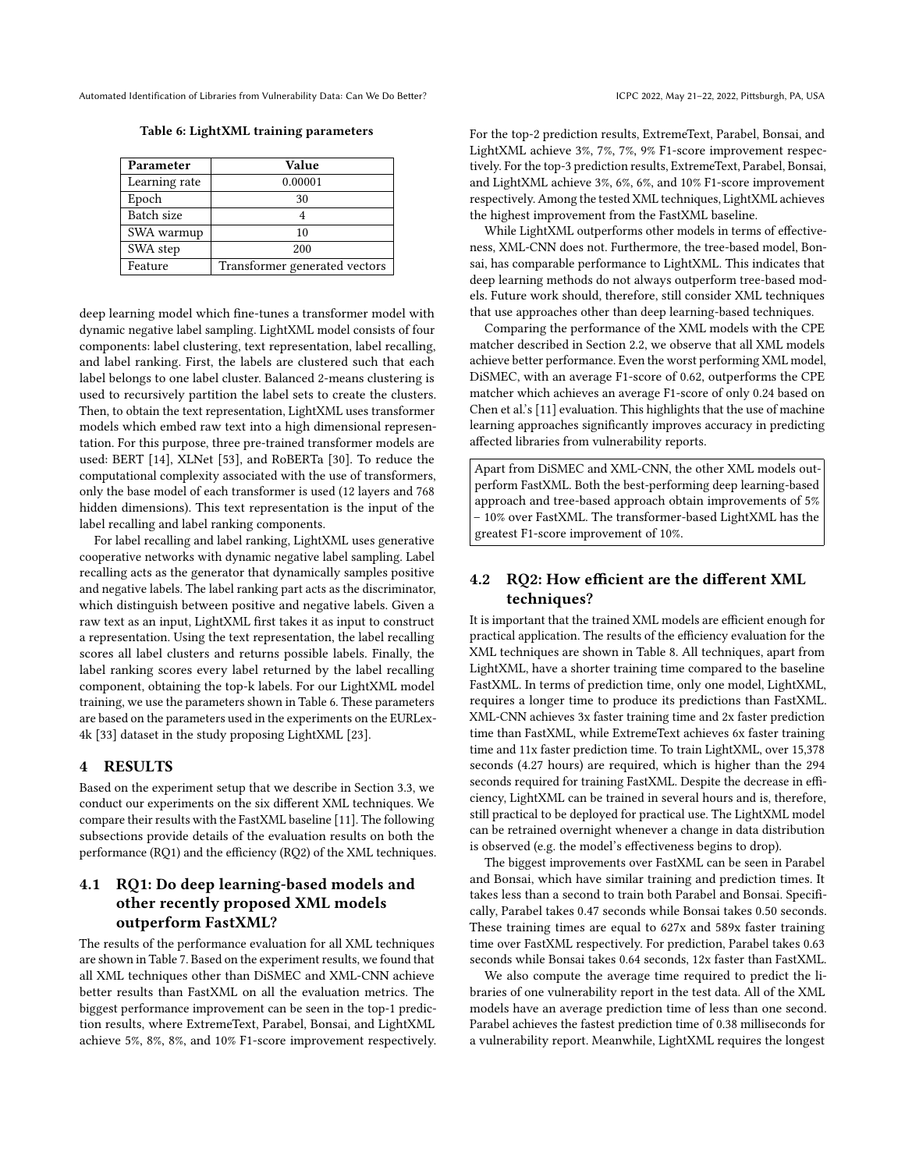Table 6: LightXML training parameters

<span id="page-6-1"></span>

| Parameter     | Value                         |
|---------------|-------------------------------|
| Learning rate | 0.00001                       |
| Epoch         | 30                            |
| Batch size    | 4                             |
| SWA warmup    | 10                            |
| SWA step      | 200                           |
| Feature       | Transformer generated vectors |

deep learning model which fine-tunes a transformer model with dynamic negative label sampling. LightXML model consists of four components: label clustering, text representation, label recalling, and label ranking. First, the labels are clustered such that each label belongs to one label cluster. Balanced 2-means clustering is used to recursively partition the label sets to create the clusters. Then, to obtain the text representation, LightXML uses transformer models which embed raw text into a high dimensional representation. For this purpose, three pre-trained transformer models are used: BERT [\[14\]](#page-10-17), XLNet [\[53\]](#page-11-12), and RoBERTa [\[30\]](#page-10-28). To reduce the computational complexity associated with the use of transformers, only the base model of each transformer is used (12 layers and 768 hidden dimensions). This text representation is the input of the label recalling and label ranking components.

For label recalling and label ranking, LightXML uses generative cooperative networks with dynamic negative label sampling. Label recalling acts as the generator that dynamically samples positive and negative labels. The label ranking part acts as the discriminator, which distinguish between positive and negative labels. Given a raw text as an input, LightXML first takes it as input to construct a representation. Using the text representation, the label recalling scores all label clusters and returns possible labels. Finally, the label ranking scores every label returned by the label recalling component, obtaining the top-k labels. For our LightXML model training, we use the parameters shown in Table [6.](#page-6-1) These parameters are based on the parameters used in the experiments on the EURLex-4k [\[33\]](#page-10-26) dataset in the study proposing LightXML [\[23\]](#page-10-13).

## <span id="page-6-0"></span>4 RESULTS

Based on the experiment setup that we describe in Section [3.3,](#page-4-4) we conduct our experiments on the six different XML techniques. We compare their results with the FastXML baseline [\[11\]](#page-10-7). The following subsections provide details of the evaluation results on both the performance (RQ1) and the efficiency (RQ2) of the XML techniques.

# 4.1 RQ1: Do deep learning-based models and other recently proposed XML models outperform FastXML?

The results of the performance evaluation for all XML techniques are shown in Table [7.](#page-7-1) Based on the experiment results, we found that all XML techniques other than DiSMEC and XML-CNN achieve better results than FastXML on all the evaluation metrics. The biggest performance improvement can be seen in the top-1 prediction results, where ExtremeText, Parabel, Bonsai, and LightXML achieve 5%, 8%, 8%, and 10% F1-score improvement respectively. For the top-2 prediction results, ExtremeText, Parabel, Bonsai, and LightXML achieve 3%, 7%, 7%, 9% F1-score improvement respectively. For the top-3 prediction results, ExtremeText, Parabel, Bonsai, and LightXML achieve 3%, 6%, 6%, and 10% F1-score improvement respectively. Among the tested XML techniques, LightXML achieves the highest improvement from the FastXML baseline.

While LightXML outperforms other models in terms of effectiveness, XML-CNN does not. Furthermore, the tree-based model, Bonsai, has comparable performance to LightXML. This indicates that deep learning methods do not always outperform tree-based models. Future work should, therefore, still consider XML techniques that use approaches other than deep learning-based techniques.

Comparing the performance of the XML models with the CPE matcher described in Section [2.2,](#page-3-5) we observe that all XML models achieve better performance. Even the worst performing XML model, DiSMEC, with an average F1-score of 0.62, outperforms the CPE matcher which achieves an average F1-score of only 0.24 based on Chen et al.'s [\[11\]](#page-10-7) evaluation. This highlights that the use of machine learning approaches significantly improves accuracy in predicting affected libraries from vulnerability reports.

Apart from DiSMEC and XML-CNN, the other XML models outperform FastXML. Both the best-performing deep learning-based approach and tree-based approach obtain improvements of 5% – 10% over FastXML. The transformer-based LightXML has the greatest F1-score improvement of 10%.

## 4.2 RQ2: How efficient are the different XML techniques?

It is important that the trained XML models are efficient enough for practical application. The results of the efficiency evaluation for the XML techniques are shown in Table [8.](#page-7-2) All techniques, apart from LightXML, have a shorter training time compared to the baseline FastXML. In terms of prediction time, only one model, LightXML, requires a longer time to produce its predictions than FastXML. XML-CNN achieves 3x faster training time and 2x faster prediction time than FastXML, while ExtremeText achieves 6x faster training time and 11x faster prediction time. To train LightXML, over 15,378 seconds (4.27 hours) are required, which is higher than the 294 seconds required for training FastXML. Despite the decrease in efficiency, LightXML can be trained in several hours and is, therefore, still practical to be deployed for practical use. The LightXML model can be retrained overnight whenever a change in data distribution is observed (e.g. the model's effectiveness begins to drop).

The biggest improvements over FastXML can be seen in Parabel and Bonsai, which have similar training and prediction times. It takes less than a second to train both Parabel and Bonsai. Specifically, Parabel takes 0.47 seconds while Bonsai takes 0.50 seconds. These training times are equal to 627x and 589x faster training time over FastXML respectively. For prediction, Parabel takes 0.63 seconds while Bonsai takes 0.64 seconds, 12x faster than FastXML.

We also compute the average time required to predict the libraries of one vulnerability report in the test data. All of the XML models have an average prediction time of less than one second. Parabel achieves the fastest prediction time of 0.38 milliseconds for a vulnerability report. Meanwhile, LightXML requires the longest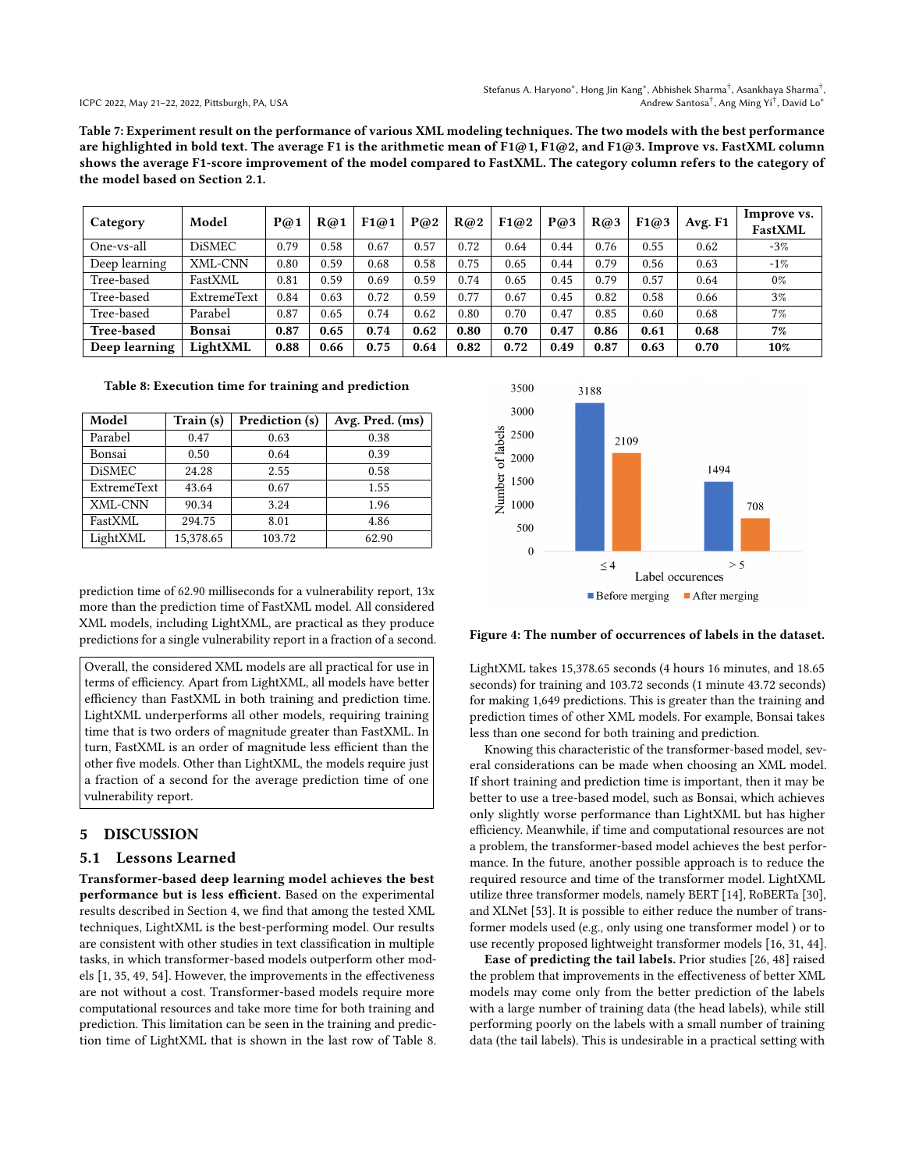Stefanus A. Haryono\*, Hong Jin Kang\*, Abhishek Sharma<sup>†</sup>, Asankhaya Sharma<sup>†</sup>, Andrew Santosa† , Ang Ming Yi† , David Lo<sup>∗</sup>

ICPC 2022, May 21–22, 2022, Pittsburgh, PA, USA

<span id="page-7-1"></span>Table 7: Experiment result on the performance of various XML modeling techniques. The two models with the best performance are highlighted in bold text. The average F1 is the arithmetic mean of F1@1, F1@2, and F1@3. Improve vs. FastXML column shows the average F1-score improvement of the model compared to FastXML. The category column refers to the category of the model based on Section [2.1.](#page-2-1)

| Category          | Model              | P@1  | R@1  | F1@1 | P@2  | R@2  | F1@2 | P@3  | R@3  | F1@3 | Avg. F1 | Improve vs.<br><b>FastXML</b> |
|-------------------|--------------------|------|------|------|------|------|------|------|------|------|---------|-------------------------------|
| One-vs-all        | <b>DiSMEC</b>      | 0.79 | 0.58 | 0.67 | 0.57 | 0.72 | 0.64 | 0.44 | 0.76 | 0.55 | 0.62    | $-3%$                         |
| Deep learning     | XML-CNN            | 0.80 | 0.59 | 0.68 | 0.58 | 0.75 | 0.65 | 0.44 | 0.79 | 0.56 | 0.63    | $-1%$                         |
| Tree-based        | FastXML            | 0.81 | 0.59 | 0.69 | 0.59 | 0.74 | 0.65 | 0.45 | 0.79 | 0.57 | 0.64    | $0\%$                         |
| Tree-based        | <b>ExtremeText</b> | 0.84 | 0.63 | 0.72 | 0.59 | 0.77 | 0.67 | 0.45 | 0.82 | 0.58 | 0.66    | 3%                            |
| Tree-based        | Parabel            | 0.87 | 0.65 | 0.74 | 0.62 | 0.80 | 0.70 | 0.47 | 0.85 | 0.60 | 0.68    | 7%                            |
| <b>Tree-based</b> | Bonsai             | 0.87 | 0.65 | 0.74 | 0.62 | 0.80 | 0.70 | 0.47 | 0.86 | 0.61 | 0.68    | 7%                            |
| Deep learning     | LightXML           | 0.88 | 0.66 | 0.75 | 0.64 | 0.82 | 0.72 | 0.49 | 0.87 | 0.63 | 0.70    | 10%                           |

#### <span id="page-7-2"></span>Table 8: Execution time for training and prediction

| Model              | Train (s) | Prediction (s) | Avg. Pred. (ms) |
|--------------------|-----------|----------------|-----------------|
| Parabel            | 0.47      | 0.63           | 0.38            |
| Bonsai             | 0.50      | 0.64           | 0.39            |
| <b>DiSMEC</b>      | 24.28     | 2.55           | 0.58            |
| <b>ExtremeText</b> | 43.64     | 0.67           | 1.55            |
| XML-CNN            | 90.34     | 3.24           | 1.96            |
| FastXML            | 294.75    | 8.01           | 4.86            |
| LightXML           | 15.378.65 | 103.72         | 62.90           |

prediction time of 62.90 milliseconds for a vulnerability report, 13x more than the prediction time of FastXML model. All considered XML models, including LightXML, are practical as they produce predictions for a single vulnerability report in a fraction of a second.

Overall, the considered XML models are all practical for use in terms of efficiency. Apart from LightXML, all models have better efficiency than FastXML in both training and prediction time. LightXML underperforms all other models, requiring training time that is two orders of magnitude greater than FastXML. In turn, FastXML is an order of magnitude less efficient than the other five models. Other than LightXML, the models require just a fraction of a second for the average prediction time of one vulnerability report.

#### <span id="page-7-0"></span>5 DISCUSSION

#### 5.1 Lessons Learned

Transformer-based deep learning model achieves the best performance but is less efficient. Based on the experimental results described in Section [4,](#page-6-0) we find that among the tested XML techniques, LightXML is the best-performing model. Our results are consistent with other studies in text classification in multiple tasks, in which transformer-based models outperform other models [\[1,](#page-10-29) [35,](#page-10-30) [49,](#page-11-13) [54\]](#page-11-14). However, the improvements in the effectiveness are not without a cost. Transformer-based models require more computational resources and take more time for both training and prediction. This limitation can be seen in the training and prediction time of LightXML that is shown in the last row of Table [8.](#page-7-2)

<span id="page-7-3"></span>

#### Figure 4: The number of occurrences of labels in the dataset.

LightXML takes 15,378.65 seconds (4 hours 16 minutes, and 18.65 seconds) for training and 103.72 seconds (1 minute 43.72 seconds) for making 1,649 predictions. This is greater than the training and prediction times of other XML models. For example, Bonsai takes less than one second for both training and prediction.

Knowing this characteristic of the transformer-based model, several considerations can be made when choosing an XML model. If short training and prediction time is important, then it may be better to use a tree-based model, such as Bonsai, which achieves only slightly worse performance than LightXML but has higher efficiency. Meanwhile, if time and computational resources are not a problem, the transformer-based model achieves the best performance. In the future, another possible approach is to reduce the required resource and time of the transformer model. LightXML utilize three transformer models, namely BERT [\[14\]](#page-10-17), RoBERTa [\[30\]](#page-10-28), and XLNet [\[53\]](#page-11-12). It is possible to either reduce the number of transformer models used (e.g., only using one transformer model ) or to use recently proposed lightweight transformer models [\[16,](#page-10-31) [31,](#page-10-32) [44\]](#page-11-15).

Ease of predicting the tail labels. Prior studies [\[26,](#page-10-11) [48\]](#page-11-16) raised the problem that improvements in the effectiveness of better XML models may come only from the better prediction of the labels with a large number of training data (the head labels), while still performing poorly on the labels with a small number of training data (the tail labels). This is undesirable in a practical setting with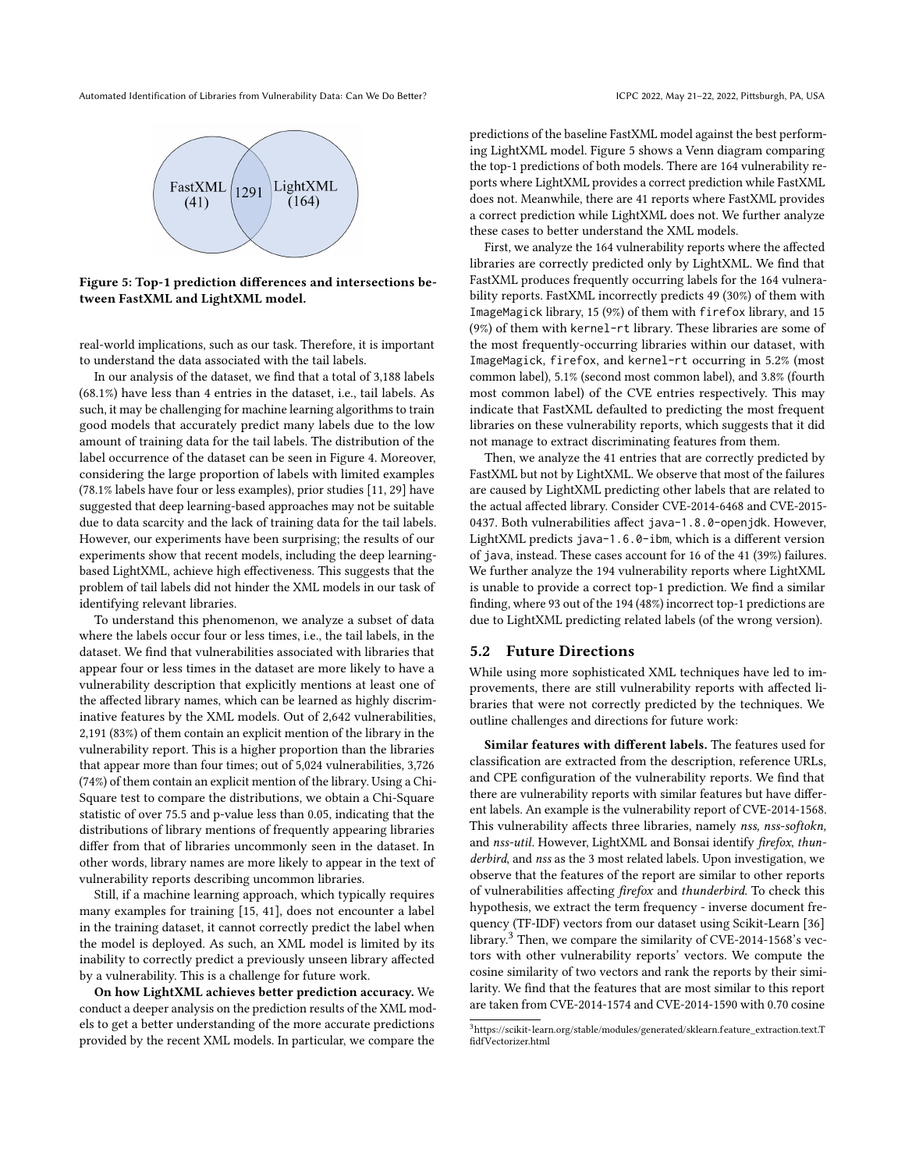<span id="page-8-0"></span>

Figure 5: Top-1 prediction differences and intersections between FastXML and LightXML model.

real-world implications, such as our task. Therefore, it is important to understand the data associated with the tail labels.

In our analysis of the dataset, we find that a total of 3,188 labels (68.1%) have less than 4 entries in the dataset, i.e., tail labels. As such, it may be challenging for machine learning algorithms to train good models that accurately predict many labels due to the low amount of training data for the tail labels. The distribution of the label occurrence of the dataset can be seen in Figure [4.](#page-7-3) Moreover, considering the large proportion of labels with limited examples (78.1% labels have four or less examples), prior studies [\[11,](#page-10-7) [29\]](#page-10-14) have suggested that deep learning-based approaches may not be suitable due to data scarcity and the lack of training data for the tail labels. However, our experiments have been surprising; the results of our experiments show that recent models, including the deep learningbased LightXML, achieve high effectiveness. This suggests that the problem of tail labels did not hinder the XML models in our task of identifying relevant libraries.

To understand this phenomenon, we analyze a subset of data where the labels occur four or less times, i.e., the tail labels, in the dataset. We find that vulnerabilities associated with libraries that appear four or less times in the dataset are more likely to have a vulnerability description that explicitly mentions at least one of the affected library names, which can be learned as highly discriminative features by the XML models. Out of 2,642 vulnerabilities, 2,191 (83%) of them contain an explicit mention of the library in the vulnerability report. This is a higher proportion than the libraries that appear more than four times; out of 5,024 vulnerabilities, 3,726 (74%) of them contain an explicit mention of the library. Using a Chi-Square test to compare the distributions, we obtain a Chi-Square statistic of over 75.5 and p-value less than 0.05, indicating that the distributions of library mentions of frequently appearing libraries differ from that of libraries uncommonly seen in the dataset. In other words, library names are more likely to appear in the text of vulnerability reports describing uncommon libraries.

Still, if a machine learning approach, which typically requires many examples for training [\[15,](#page-10-33) [41\]](#page-11-17), does not encounter a label in the training dataset, it cannot correctly predict the label when the model is deployed. As such, an XML model is limited by its inability to correctly predict a previously unseen library affected by a vulnerability. This is a challenge for future work.

On how LightXML achieves better prediction accuracy. We conduct a deeper analysis on the prediction results of the XML models to get a better understanding of the more accurate predictions provided by the recent XML models. In particular, we compare the

predictions of the baseline FastXML model against the best performing LightXML model. Figure [5](#page-8-0) shows a Venn diagram comparing the top-1 predictions of both models. There are 164 vulnerability reports where LightXML provides a correct prediction while FastXML does not. Meanwhile, there are 41 reports where FastXML provides a correct prediction while LightXML does not. We further analyze these cases to better understand the XML models.

First, we analyze the 164 vulnerability reports where the affected libraries are correctly predicted only by LightXML. We find that FastXML produces frequently occurring labels for the 164 vulnerability reports. FastXML incorrectly predicts 49 (30%) of them with ImageMagick library, 15 (9%) of them with firefox library, and 15 (9%) of them with kernel-rt library. These libraries are some of the most frequently-occurring libraries within our dataset, with ImageMagick, firefox, and kernel-rt occurring in 5.2% (most common label), 5.1% (second most common label), and 3.8% (fourth most common label) of the CVE entries respectively. This may indicate that FastXML defaulted to predicting the most frequent libraries on these vulnerability reports, which suggests that it did not manage to extract discriminating features from them.

Then, we analyze the 41 entries that are correctly predicted by FastXML but not by LightXML. We observe that most of the failures are caused by LightXML predicting other labels that are related to the actual affected library. Consider CVE-2014-6468 and CVE-2015- 0437. Both vulnerabilities affect java-1.8.0-openjdk. However, LightXML predicts java-1.6.0-ibm, which is a different version of java, instead. These cases account for 16 of the 41 (39%) failures. We further analyze the 194 vulnerability reports where LightXML is unable to provide a correct top-1 prediction. We find a similar finding, where 93 out of the 194 (48%) incorrect top-1 predictions are due to LightXML predicting related labels (of the wrong version).

#### 5.2 Future Directions

While using more sophisticated XML techniques have led to improvements, there are still vulnerability reports with affected libraries that were not correctly predicted by the techniques. We outline challenges and directions for future work:

Similar features with different labels. The features used for classification are extracted from the description, reference URLs, and CPE configuration of the vulnerability reports. We find that there are vulnerability reports with similar features but have different labels. An example is the vulnerability report of CVE-2014-1568. This vulnerability affects three libraries, namely nss, nss-softokn, and nss-util. However, LightXML and Bonsai identify firefox, thunderbird, and nss as the 3 most related labels. Upon investigation, we observe that the features of the report are similar to other reports of vulnerabilities affecting firefox and thunderbird. To check this hypothesis, we extract the term frequency - inverse document frequency (TF-IDF) vectors from our dataset using Scikit-Learn [\[36\]](#page-10-20) library.[3](#page-8-1) Then, we compare the similarity of CVE-2014-1568's vectors with other vulnerability reports' vectors. We compute the cosine similarity of two vectors and rank the reports by their similarity. We find that the features that are most similar to this report are taken from CVE-2014-1574 and CVE-2014-1590 with 0.70 cosine

<span id="page-8-1"></span><sup>3</sup>[https://scikit-learn.org/stable/modules/generated/sklearn.feature\\_extraction.text.T](https://scikit-learn.org/stable/modules/generated/sklearn.feature_extraction.text.TfidfVectorizer.html) [fidfVectorizer.html](https://scikit-learn.org/stable/modules/generated/sklearn.feature_extraction.text.TfidfVectorizer.html)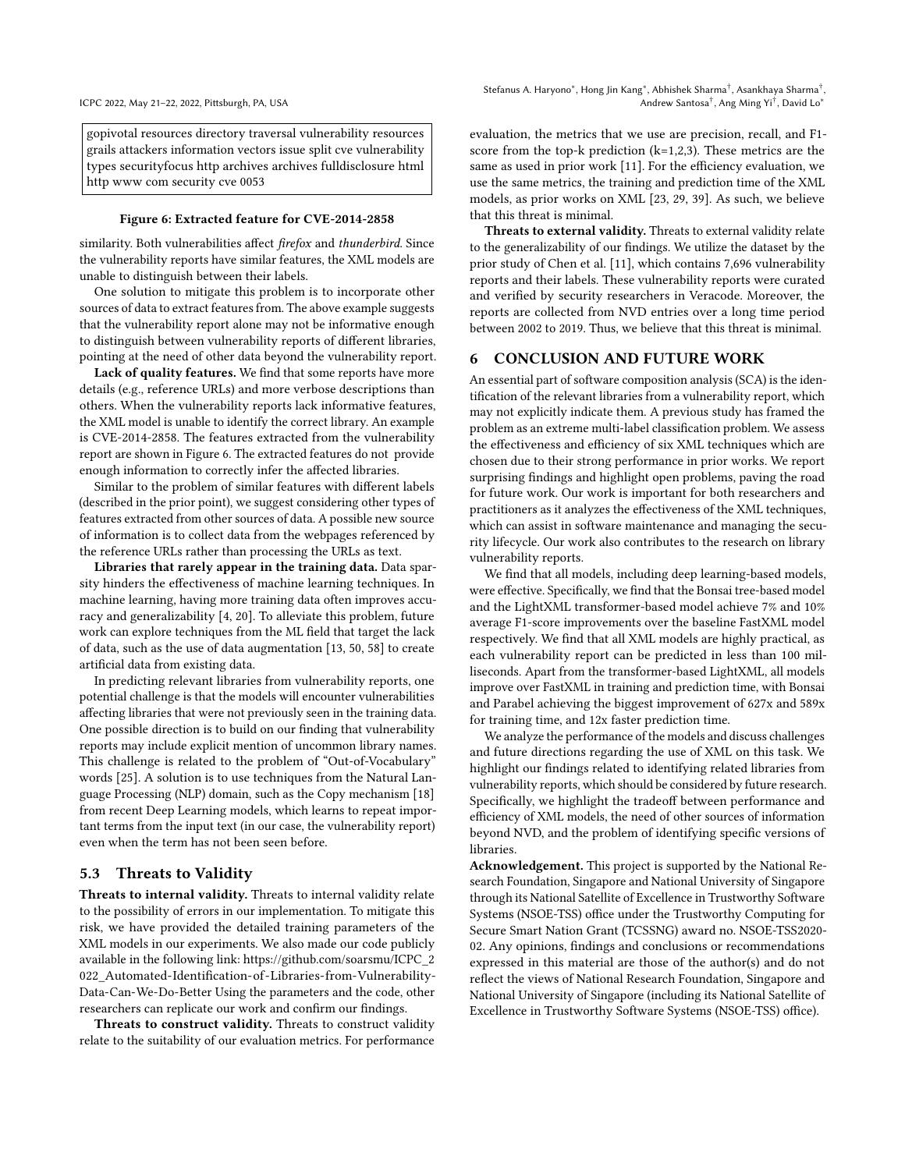<span id="page-9-1"></span>gopivotal resources directory traversal vulnerability resources grails attackers information vectors issue split cve vulnerability types securityfocus http archives archives fulldisclosure html http www com security cve 0053

#### Figure 6: Extracted feature for CVE-2014-2858

similarity. Both vulnerabilities affect firefox and thunderbird. Since the vulnerability reports have similar features, the XML models are unable to distinguish between their labels.

One solution to mitigate this problem is to incorporate other sources of data to extract features from. The above example suggests that the vulnerability report alone may not be informative enough to distinguish between vulnerability reports of different libraries, pointing at the need of other data beyond the vulnerability report.

Lack of quality features. We find that some reports have more details (e.g., reference URLs) and more verbose descriptions than others. When the vulnerability reports lack informative features, the XML model is unable to identify the correct library. An example is CVE-2014-2858. The features extracted from the vulnerability report are shown in Figure [6.](#page-9-1) The extracted features do not provide enough information to correctly infer the affected libraries.

Similar to the problem of similar features with different labels (described in the prior point), we suggest considering other types of features extracted from other sources of data. A possible new source of information is to collect data from the webpages referenced by the reference URLs rather than processing the URLs as text.

Libraries that rarely appear in the training data. Data sparsity hinders the effectiveness of machine learning techniques. In machine learning, having more training data often improves accuracy and generalizability [\[4,](#page-10-34) [20\]](#page-10-35). To alleviate this problem, future work can explore techniques from the ML field that target the lack of data, such as the use of data augmentation [\[13,](#page-10-36) [50,](#page-11-18) [58\]](#page-11-19) to create artificial data from existing data.

In predicting relevant libraries from vulnerability reports, one potential challenge is that the models will encounter vulnerabilities affecting libraries that were not previously seen in the training data. One possible direction is to build on our finding that vulnerability reports may include explicit mention of uncommon library names. This challenge is related to the problem of "Out-of-Vocabulary" words [\[25\]](#page-10-37). A solution is to use techniques from the Natural Language Processing (NLP) domain, such as the Copy mechanism [\[18\]](#page-10-38) from recent Deep Learning models, which learns to repeat important terms from the input text (in our case, the vulnerability report) even when the term has not been seen before.

#### 5.3 Threats to Validity

Threats to internal validity. Threats to internal validity relate to the possibility of errors in our implementation. To mitigate this risk, we have provided the detailed training parameters of the XML models in our experiments. We also made our code publicly available in the following link: [https://github.com/soarsmu/ICPC\\_2](https://github.com/soarsmu/ICPC_2022_Automated-Identification-of-Libraries-from-Vulnerability-Data-Can-We-Do-Better) [022\\_Automated-Identification-of -Libraries-from-Vulnerability-](https://github.com/soarsmu/ICPC_2022_Automated-Identification-of-Libraries-from-Vulnerability-Data-Can-We-Do-Better)[Data-Can-We-Do-Better](https://github.com/soarsmu/ICPC_2022_Automated-Identification-of-Libraries-from-Vulnerability-Data-Can-We-Do-Better) Using the parameters and the code, other researchers can replicate our work and confirm our findings.

Threats to construct validity. Threats to construct validity relate to the suitability of our evaluation metrics. For performance evaluation, the metrics that we use are precision, recall, and F1 score from the top-k prediction (k=1,2,3). These metrics are the same as used in prior work [\[11\]](#page-10-7). For the efficiency evaluation, we use the same metrics, the training and prediction time of the XML models, as prior works on XML [\[23,](#page-10-13) [29,](#page-10-14) [39\]](#page-10-12). As such, we believe that this threat is minimal.

Threats to external validity. Threats to external validity relate to the generalizability of our findings. We utilize the dataset by the prior study of Chen et al. [\[11\]](#page-10-7), which contains 7,696 vulnerability reports and their labels. These vulnerability reports were curated and verified by security researchers in Veracode. Moreover, the reports are collected from NVD entries over a long time period between 2002 to 2019. Thus, we believe that this threat is minimal.

## <span id="page-9-0"></span>6 CONCLUSION AND FUTURE WORK

An essential part of software composition analysis (SCA) is the identification of the relevant libraries from a vulnerability report, which may not explicitly indicate them. A previous study has framed the problem as an extreme multi-label classification problem. We assess the effectiveness and efficiency of six XML techniques which are chosen due to their strong performance in prior works. We report surprising findings and highlight open problems, paving the road for future work. Our work is important for both researchers and practitioners as it analyzes the effectiveness of the XML techniques, which can assist in software maintenance and managing the security lifecycle. Our work also contributes to the research on library vulnerability reports.

We find that all models, including deep learning-based models, were effective. Specifically, we find that the Bonsai tree-based model and the LightXML transformer-based model achieve 7% and 10% average F1-score improvements over the baseline FastXML model respectively. We find that all XML models are highly practical, as each vulnerability report can be predicted in less than 100 milliseconds. Apart from the transformer-based LightXML, all models improve over FastXML in training and prediction time, with Bonsai and Parabel achieving the biggest improvement of 627x and 589x for training time, and 12x faster prediction time.

We analyze the performance of the models and discuss challenges and future directions regarding the use of XML on this task. We highlight our findings related to identifying related libraries from vulnerability reports, which should be considered by future research. Specifically, we highlight the tradeoff between performance and efficiency of XML models, the need of other sources of information beyond NVD, and the problem of identifying specific versions of libraries.

Acknowledgement. This project is supported by the National Research Foundation, Singapore and National University of Singapore through its National Satellite of Excellence in Trustworthy Software Systems (NSOE-TSS) office under the Trustworthy Computing for Secure Smart Nation Grant (TCSSNG) award no. NSOE-TSS2020- 02. Any opinions, findings and conclusions or recommendations expressed in this material are those of the author(s) and do not reflect the views of National Research Foundation, Singapore and National University of Singapore (including its National Satellite of Excellence in Trustworthy Software Systems (NSOE-TSS) office).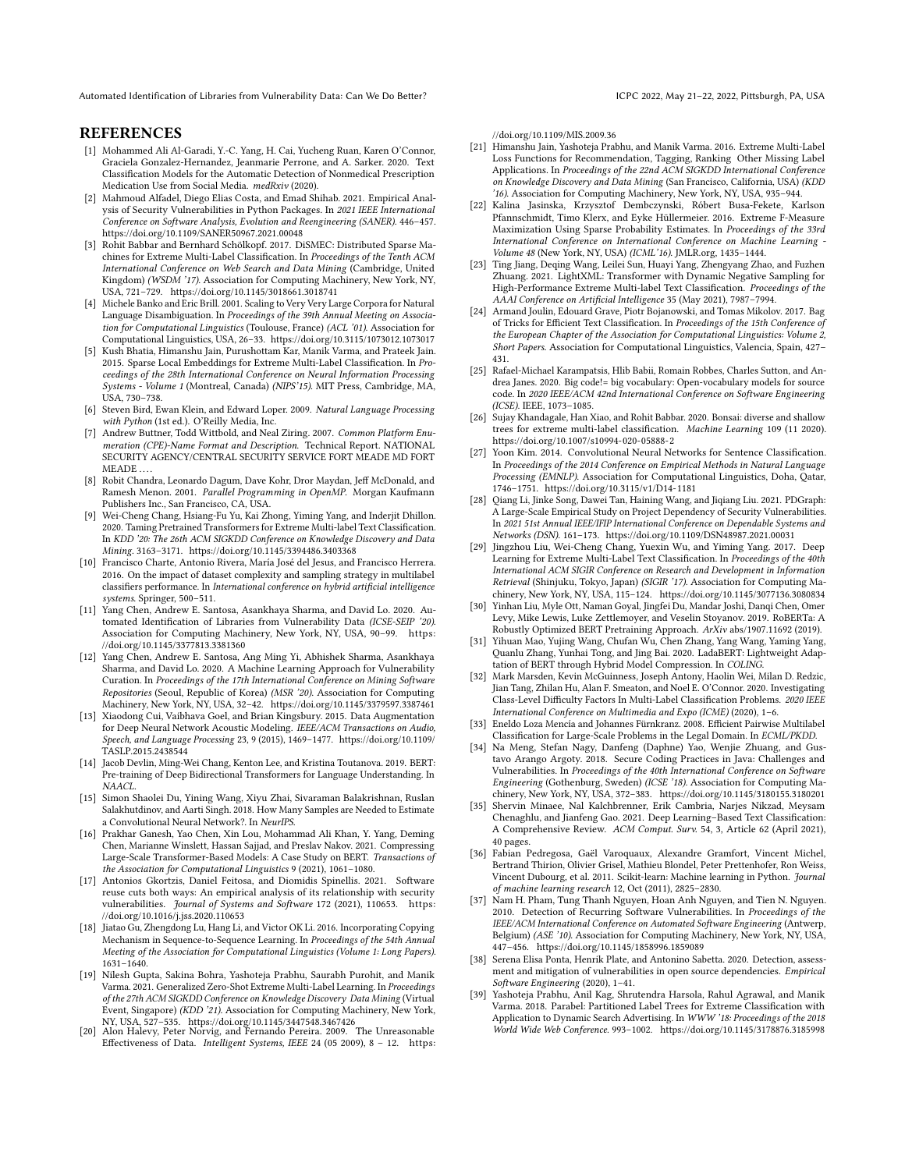## **REFERENCES**

- <span id="page-10-29"></span>[1] Mohammed Ali Al-Garadi, Y.-C. Yang, H. Cai, Yucheng Ruan, Karen O'Connor, Graciela Gonzalez-Hernandez, Jeanmarie Perrone, and A. Sarker. 2020. Text Classification Models for the Automatic Detection of Nonmedical Prescription Medication Use from Social Media. medRxiv (2020).
- <span id="page-10-0"></span>[2] Mahmoud Alfadel, Diego Elias Costa, and Emad Shihab. 2021. Empirical Analysis of Security Vulnerabilities in Python Packages. In 2021 IEEE International Conference on Software Analysis, Evolution and Reengineering (SANER). 446–457. <https://doi.org/10.1109/SANER50967.2021.00048>
- <span id="page-10-9"></span>[3] Rohit Babbar and Bernhard Schölkopf. 2017. DiSMEC: Distributed Sparse Machines for Extreme Multi-Label Classification. In Proceedings of the Tenth ACM International Conference on Web Search and Data Mining (Cambridge, United Kingdom) (WSDM '17). Association for Computing Machinery, New York, NY, USA, 721–729.<https://doi.org/10.1145/3018661.3018741>
- <span id="page-10-34"></span>[4] Michele Banko and Eric Brill. 2001. Scaling to Very Very Large Corpora for Natural Language Disambiguation. In Proceedings of the 39th Annual Meeting on Association for Computational Linguistics (Toulouse, France) (ACL '01). Association for Computational Linguistics, USA, 26–33.<https://doi.org/10.3115/1073012.1073017>
- <span id="page-10-15"></span>[5] Kush Bhatia, Himanshu Jain, Purushottam Kar, Manik Varma, and Prateek Jain. 2015. Sparse Local Embeddings for Extreme Multi-Label Classification. In Proceedings of the 28th International Conference on Neural Information Processing Systems - Volume 1 (Montreal, Canada) (NIPS'15). MIT Press, Cambridge, MA, USA, 730–738.
- <span id="page-10-19"></span>[6] Steven Bird, Ewan Klein, and Edward Loper. 2009. Natural Language Processing with Python (1st ed.). O'Reilly Media, Inc.
- <span id="page-10-21"></span>[7] Andrew Buttner, Todd Wittbold, and Neal Ziring. 2007. Common Platform Enumeration (CPE)-Name Format and Description. Technical Report. NATIONAL SECURITY AGENCY/CENTRAL SECURITY SERVICE FORT MEADE MD FORT MEADE.
- <span id="page-10-23"></span>[8] Robit Chandra, Leonardo Dagum, Dave Kohr, Dror Maydan, Jeff McDonald, and Ramesh Menon. 2001. Parallel Programming in OpenMP. Morgan Kaufmann Publishers Inc., San Francisco, CA, USA.
- <span id="page-10-16"></span>[9] Wei-Cheng Chang, Hsiang-Fu Yu, Kai Zhong, Yiming Yang, and Inderjit Dhillon. 2020. Taming Pretrained Transformers for Extreme Multi-label Text Classification. In KDD '20: The 26th ACM SIGKDD Conference on Knowledge Discovery and Data Mining. 3163–3171.<https://doi.org/10.1145/3394486.3403368>
- <span id="page-10-22"></span>[10] Francisco Charte, Antonio Rivera, María José del Jesus, and Francisco Herrera. 2016. On the impact of dataset complexity and sampling strategy in multilabel classifiers performance. In International conference on hybrid artificial intelligence systems. Springer, 500–511.
- <span id="page-10-7"></span>[11] Yang Chen, Andrew E. Santosa, Asankhaya Sharma, and David Lo. 2020. Automated Identification of Libraries from Vulnerability Data (ICSE-SEIP '20). Association for Computing Machinery, New York, NY, USA, 90–99. [https:](https://doi.org/10.1145/3377813.3381360) [//doi.org/10.1145/3377813.3381360](https://doi.org/10.1145/3377813.3381360)
- <span id="page-10-1"></span>[12] Yang Chen, Andrew E. Santosa, Ang Ming Yi, Abhishek Sharma, Asankhaya Sharma, and David Lo. 2020. A Machine Learning Approach for Vulnerability Curation. In Proceedings of the 17th International Conference on Mining Software Repositories (Seoul, Republic of Korea) (MSR '20). Association for Computing Machinery, New York, NY, USA, 32–42.<https://doi.org/10.1145/3379597.3387461>
- <span id="page-10-36"></span>[13] Xiaodong Cui, Vaibhava Goel, and Brian Kingsbury. 2015. Data Augmentation for Deep Neural Network Acoustic Modeling. IEEE/ACM Transactions on Audio, Speech, and Language Processing 23, 9 (2015), 1469–1477. [https://doi.org/10.1109/](https://doi.org/10.1109/TASLP.2015.2438544) [TASLP.2015.2438544](https://doi.org/10.1109/TASLP.2015.2438544)
- <span id="page-10-17"></span>[14] Jacob Devlin, Ming-Wei Chang, Kenton Lee, and Kristina Toutanova. 2019. BERT: Pre-training of Deep Bidirectional Transformers for Language Understanding. In NAACL.
- <span id="page-10-33"></span>[15] Simon Shaolei Du, Yining Wang, Xiyu Zhai, Sivaraman Balakrishnan, Ruslan Salakhutdinov, and Aarti Singh. 2018. How Many Samples are Needed to Estimate a Convolutional Neural Network?. In NeurIPS.
- <span id="page-10-31"></span>[16] Prakhar Ganesh, Yao Chen, Xin Lou, Mohammad Ali Khan, Y. Yang, Deming Chen, Marianne Winslett, Hassan Sajjad, and Preslav Nakov. 2021. Compressing Large-Scale Transformer-Based Models: A Case Study on BERT. Transactions of the Association for Computational Linguistics 9 (2021), 1061–1080.
- <span id="page-10-2"></span>[17] Antonios Gkortzis, Daniel Feitosa, and Diomidis Spinellis. 2021. Software reuse cuts both ways: An empirical analysis of its relationship with security vulnerabilities. Journal of Systems and Software 172 (2021), 110653. [https:](https://doi.org/10.1016/j.jss.2020.110653) [//doi.org/10.1016/j.jss.2020.110653](https://doi.org/10.1016/j.jss.2020.110653)
- <span id="page-10-38"></span>[18] Jiatao Gu, Zhengdong Lu, Hang Li, and Victor OK Li. 2016. Incorporating Copying Mechanism in Sequence-to-Sequence Learning. In Proceedings of the 54th Annual Meeting of the Association for Computational Linguistics (Volume 1: Long Papers). 1631–1640.
- <span id="page-10-8"></span>[19] Nilesh Gupta, Sakina Bohra, Yashoteja Prabhu, Saurabh Purohit, and Manik Varma. 2021. Generalized Zero-Shot Extreme Multi-Label Learning. In Proceedings of the 27th ACM SIGKDD Conference on Knowledge Discovery Data Mining (Virtual Event, Singapore) (KDD '21). Association for Computing Machinery, New York, NY, USA, 527–535.<https://doi.org/10.1145/3447548.3467426> [20] Alon Halevy, Peter Norvig, and Fernando Pereira. 2009. The Unreasonable
- <span id="page-10-35"></span>Effectiveness of Data. Intelligent Systems, IEEE 24 (05 2009), 8 – 12. [https:](https://doi.org/10.1109/MIS.2009.36)

[//doi.org/10.1109/MIS.2009.36](https://doi.org/10.1109/MIS.2009.36)

- <span id="page-10-10"></span>[21] Himanshu Jain, Yashoteja Prabhu, and Manik Varma. 2016. Extreme Multi-Label Loss Functions for Recommendation, Tagging, Ranking Other Missing Label Applications. In Proceedings of the 22nd ACM SIGKDD International Conference on Knowledge Discovery and Data Mining (San Francisco, California, USA) (KDD '16). Association for Computing Machinery, New York, NY, USA, 935–944.
- <span id="page-10-25"></span>[22] Kalina Jasinska, Krzysztof Dembczynski, Róbert Busa-Fekete, Karlson Pfannschmidt, Timo Klerx, and Eyke Hüllermeier. 2016. Extreme F-Measure Maximization Using Sparse Probability Estimates. In Proceedings of the 33rd International Conference on International Conference on Machine Learning - Volume 48 (New York, NY, USA) (ICML'16). JMLR.org, 1435–1444.
- <span id="page-10-13"></span>[23] Ting Jiang, Deqing Wang, Leilei Sun, Huayi Yang, Zhengyang Zhao, and Fuzhen Zhuang. 2021. LightXML: Transformer with Dynamic Negative Sampling for High-Performance Extreme Multi-label Text Classification. Proceedings of the AAAI Conference on Artificial Intelligence 35 (May 2021), 7987–7994.
- <span id="page-10-24"></span>[24] Armand Joulin, Edouard Grave, Piotr Bojanowski, and Tomas Mikolov. 2017. Bag of Tricks for Efficient Text Classification. In Proceedings of the 15th Conference of the European Chapter of the Association for Computational Linguistics: Volume 2, Short Papers. Association for Computational Linguistics, Valencia, Spain, 427– 431.
- <span id="page-10-37"></span>[25] Rafael-Michael Karampatsis, Hlib Babii, Romain Robbes, Charles Sutton, and Andrea Janes. 2020. Big code!= big vocabulary: Open-vocabulary models for source code. In 2020 IEEE/ACM 42nd International Conference on Software Engineering (ICSE). IEEE, 1073–1085.
- <span id="page-10-11"></span>[26] Sujay Khandagale, Han Xiao, and Rohit Babbar. 2020. Bonsai: diverse and shallow trees for extreme multi-label classification. Machine Learning 109 (11 2020). <https://doi.org/10.1007/s10994-020-05888-2>
- <span id="page-10-27"></span>[27] Yoon Kim. 2014. Convolutional Neural Networks for Sentence Classification. In Proceedings of the 2014 Conference on Empirical Methods in Natural Language Processing (EMNLP). Association for Computational Linguistics, Doha, Qatar, 1746–1751.<https://doi.org/10.3115/v1/D14-1181>
- <span id="page-10-3"></span>[28] Qiang Li, Jinke Song, Dawei Tan, Haining Wang, and Jiqiang Liu. 2021. PDGraph: A Large-Scale Empirical Study on Project Dependency of Security Vulnerabilities. In 2021 51st Annual IEEE/IFIP International Conference on Dependable Systems and Networks (DSN). 161–173.<https://doi.org/10.1109/DSN48987.2021.00031>
- <span id="page-10-14"></span>[29] Jingzhou Liu, Wei-Cheng Chang, Yuexin Wu, and Yiming Yang. 2017. Deep Learning for Extreme Multi-Label Text Classification. In Proceedings of the 40th International ACM SIGIR Conference on Research and Development in Information Retrieval (Shinjuku, Tokyo, Japan) (SIGIR '17). Association for Computing Machinery, New York, NY, USA, 115–124.<https://doi.org/10.1145/3077136.3080834>
- <span id="page-10-28"></span>[30] Yinhan Liu, Myle Ott, Naman Goyal, Jingfei Du, Mandar Joshi, Danqi Chen, Omer Levy, Mike Lewis, Luke Zettlemoyer, and Veselin Stoyanov. 2019. RoBERTa: A Robustly Optimized BERT Pretraining Approach. ArXiv abs/1907.11692 (2019).
- <span id="page-10-32"></span>[31] Yihuan Mao, Yujing Wang, Chufan Wu, Chen Zhang, Yang Wang, Yaming Yang, Quanlu Zhang, Yunhai Tong, and Jing Bai. 2020. LadaBERT: Lightweight Adaptation of BERT through Hybrid Model Compression. In COLING.
- <span id="page-10-18"></span>[32] Mark Marsden, Kevin McGuinness, Joseph Antony, Haolin Wei, Milan D. Redzic, Jian Tang, Zhilan Hu, Alan F. Smeaton, and Noel E. O'Connor. 2020. Investigating Class-Level Difficulty Factors In Multi-Label Classification Problems. 2020 IEEE International Conference on Multimedia and Expo (ICME) (2020), 1–6.
- <span id="page-10-26"></span>[33] Eneldo Loza Mencía and Johannes Fürnkranz. 2008. Efficient Pairwise Multilabel Classification for Large-Scale Problems in the Legal Domain. In ECML/PKDD.
- <span id="page-10-4"></span>[34] Na Meng, Stefan Nagy, Danfeng (Daphne) Yao, Wenjie Zhuang, and Gustavo Arango Argoty. 2018. Secure Coding Practices in Java: Challenges and Vulnerabilities. In Proceedings of the 40th International Conference on Software Engineering (Gothenburg, Sweden) (ICSE '18). Association for Computing Machinery, New York, NY, USA, 372–383.<https://doi.org/10.1145/3180155.3180201>
- <span id="page-10-30"></span>[35] Shervin Minaee, Nal Kalchbrenner, Erik Cambria, Narjes Nikzad, Meysam Chenaghlu, and Jianfeng Gao. 2021. Deep Learning–Based Text Classification: A Comprehensive Review. ACM Comput. Surv. 54, 3, Article 62 (April 2021), 40 pages.
- <span id="page-10-20"></span>[36] Fabian Pedregosa, Gaël Varoquaux, Alexandre Gramfort, Vincent Michel, Bertrand Thirion, Olivier Grisel, Mathieu Blondel, Peter Prettenhofer, Ron Weiss, Vincent Dubourg, et al. 2011. Scikit-learn: Machine learning in Python. Journal of machine learning research 12, Oct (2011), 2825–2830.
- <span id="page-10-5"></span>Nam H. Pham, Tung Thanh Nguyen, Hoan Anh Nguyen, and Tien N. Nguyen. 2010. Detection of Recurring Software Vulnerabilities. In Proceedings of the IEEE/ACM International Conference on Automated Software Engineering (Antwerp, Belgium) (ASE '10). Association for Computing Machinery, New York, NY, USA, 447–456.<https://doi.org/10.1145/1858996.1859089>
- <span id="page-10-6"></span>[38] Serena Elisa Ponta, Henrik Plate, and Antonino Sabetta. 2020. Detection, assessment and mitigation of vulnerabilities in open source dependencies. Empirical Software Engineering (2020), 1–41.
- <span id="page-10-12"></span>[39] Yashoteja Prabhu, Anil Kag, Shrutendra Harsola, Rahul Agrawal, and Manik Varma. 2018. Parabel: Partitioned Label Trees for Extreme Classification with Application to Dynamic Search Advertising. In WWW '18: Proceedings of the 2018 World Wide Web Conference. 993–1002.<https://doi.org/10.1145/3178876.3185998>